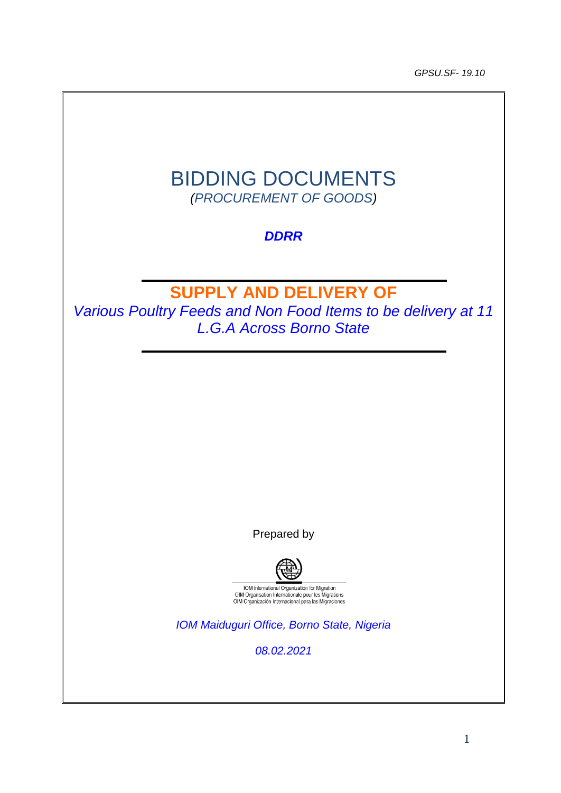*GPSU.SF- 19.10*

# BIDDING DOCUMENTS *(PROCUREMENT OF GOODS)*

# *DDRR*

# **SUPPLY AND DELIVERY OF**

*Various Poultry Feeds and Non Food Items to be delivery at 11 L.G.A Across Borno State*

Prepared by



*IOM Maiduguri Office, Borno State, Nigeria*

*08.02.2021*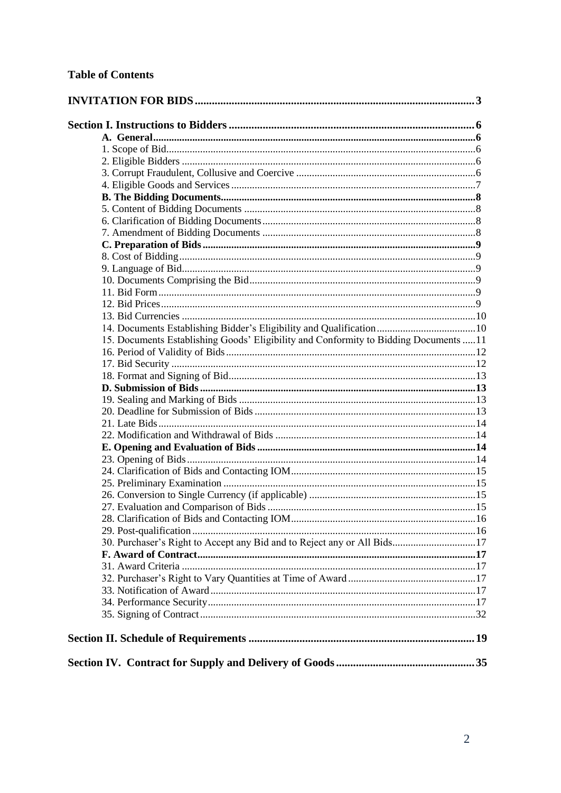| 15. Documents Establishing Goods' Eligibility and Conformity to Bidding Documents  11 |  |
|---------------------------------------------------------------------------------------|--|
|                                                                                       |  |
|                                                                                       |  |
|                                                                                       |  |
|                                                                                       |  |
|                                                                                       |  |
|                                                                                       |  |
|                                                                                       |  |
|                                                                                       |  |
|                                                                                       |  |
|                                                                                       |  |
|                                                                                       |  |
|                                                                                       |  |
|                                                                                       |  |
|                                                                                       |  |
|                                                                                       |  |
|                                                                                       |  |
| 30. Purchaser's Right to Accept any Bid and to Reject any or All Bids17               |  |
|                                                                                       |  |
|                                                                                       |  |
|                                                                                       |  |
|                                                                                       |  |
|                                                                                       |  |
|                                                                                       |  |
|                                                                                       |  |
|                                                                                       |  |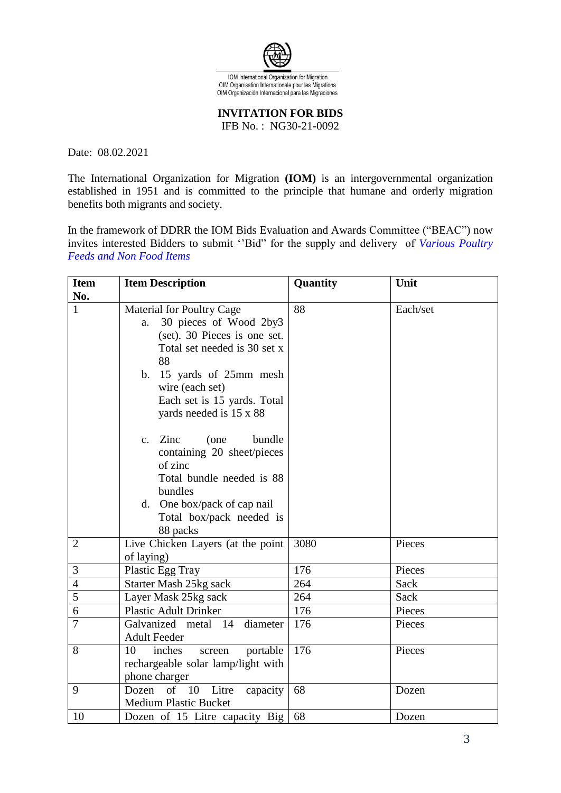

**INVITATION FOR BIDS** 

IFB No. : NG30-21-0092

<span id="page-2-0"></span>Date: 08.02.2021

The International Organization for Migration **(IOM)** is an intergovernmental organization established in 1951 and is committed to the principle that humane and orderly migration benefits both migrants and society.

In the framework of DDRR the IOM Bids Evaluation and Awards Committee ("BEAC") now invites interested Bidders to submit ''Bid" for the supply and delivery of *Various Poultry Feeds and Non Food Items*

| <b>Item</b>    | <b>Item Description</b>                                                                                                                                                                                                                         | Quantity | Unit     |
|----------------|-------------------------------------------------------------------------------------------------------------------------------------------------------------------------------------------------------------------------------------------------|----------|----------|
| No.            |                                                                                                                                                                                                                                                 |          |          |
| 1              | <b>Material for Poultry Cage</b><br>30 pieces of Wood 2by3<br>a.<br>(set). 30 Pieces is one set.<br>Total set needed is 30 set x<br>88<br>b. 15 yards of 25mm mesh<br>wire (each set)<br>Each set is 15 yards. Total<br>yards needed is 15 x 88 | 88       | Each/set |
|                | c. Zinc<br>(one<br>bundle<br>containing 20 sheet/pieces<br>of zinc<br>Total bundle needed is 88<br>bundles<br>d. One box/pack of cap nail<br>Total box/pack needed is<br>88 packs                                                               |          |          |
| $\overline{2}$ | Live Chicken Layers (at the point<br>of laying)                                                                                                                                                                                                 | 3080     | Pieces   |
| 3              | Plastic Egg Tray                                                                                                                                                                                                                                | 176      | Pieces   |
| $\overline{4}$ | Starter Mash 25kg sack                                                                                                                                                                                                                          | 264      | Sack     |
| 5              | Layer Mask 25kg sack                                                                                                                                                                                                                            | 264      | Sack     |
| 6              | <b>Plastic Adult Drinker</b>                                                                                                                                                                                                                    | 176      | Pieces   |
| 7              | Galvanized metal 14<br>diameter<br><b>Adult Feeder</b>                                                                                                                                                                                          | 176      | Pieces   |
| 8              | 10<br>inches<br>portable<br>screen<br>rechargeable solar lamp/light with<br>phone charger                                                                                                                                                       | 176      | Pieces   |
| 9              | Litre<br>Dozen<br>of<br>- 10<br>capacity<br><b>Medium Plastic Bucket</b>                                                                                                                                                                        | 68       | Dozen    |
| 10             | Dozen of 15 Litre capacity Big                                                                                                                                                                                                                  | 68       | Dozen    |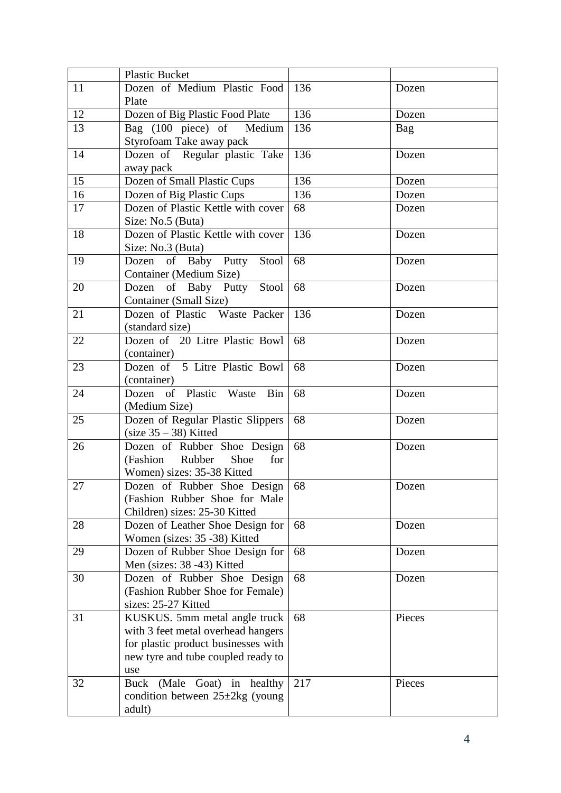|    | <b>Plastic Bucket</b>                                   |     |        |
|----|---------------------------------------------------------|-----|--------|
| 11 | Dozen of Medium Plastic Food                            | 136 | Dozen  |
|    | Plate                                                   |     |        |
| 12 | Dozen of Big Plastic Food Plate                         | 136 | Dozen  |
| 13 | Bag (100 piece) of Medium<br>Styrofoam Take away pack   | 136 | Bag    |
| 14 | Dozen of Regular plastic Take                           | 136 | Dozen  |
|    | away pack                                               |     |        |
| 15 | Dozen of Small Plastic Cups                             | 136 | Dozen  |
| 16 | Dozen of Big Plastic Cups                               | 136 | Dozen  |
| 17 | Dozen of Plastic Kettle with cover                      | 68  | Dozen  |
|    | Size: No.5 (Buta)                                       |     |        |
| 18 | Dozen of Plastic Kettle with cover<br>Size: No.3 (Buta) | 136 | Dozen  |
| 19 | Dozen of Baby Putty<br>Stool                            | 68  | Dozen  |
|    | Container (Medium Size)                                 |     |        |
| 20 | Dozen of Baby Putty Stool<br>Container (Small Size)     | 68  | Dozen  |
| 21 | Dozen of Plastic Waste Packer<br>(standard size)        | 136 | Dozen  |
| 22 | Dozen of 20 Litre Plastic Bowl<br>(container)           | 68  | Dozen  |
| 23 | Dozen of 5 Litre Plastic Bowl                           | 68  | Dozen  |
|    | (container)                                             |     |        |
| 24 | Dozen of Plastic Waste<br><b>Bin</b><br>(Medium Size)   | 68  | Dozen  |
| 25 | Dozen of Regular Plastic Slippers                       | 68  | Dozen  |
|    | $(size 35 - 38)$ Kitted                                 |     |        |
| 26 | Dozen of Rubber Shoe Design                             | 68  | Dozen  |
|    | (Fashion)<br>Rubber<br>Shoe<br>for                      |     |        |
|    | Women) sizes: 35-38 Kitted                              |     |        |
| 27 | Dozen of Rubber Shoe Design                             | 68  | Dozen  |
|    | (Fashion Rubber Shoe for Male                           |     |        |
|    | Children) sizes: 25-30 Kitted                           |     |        |
| 28 | Dozen of Leather Shoe Design for                        | 68  | Dozen  |
|    | Women (sizes: 35 -38) Kitted                            |     |        |
| 29 | Dozen of Rubber Shoe Design for                         | 68  | Dozen  |
|    | Men (sizes: 38 -43) Kitted                              |     |        |
| 30 | Dozen of Rubber Shoe Design                             | 68  | Dozen  |
|    | (Fashion Rubber Shoe for Female)<br>sizes: 25-27 Kitted |     |        |
| 31 | KUSKUS. 5mm metal angle truck                           | 68  | Pieces |
|    | with 3 feet metal overhead hangers                      |     |        |
|    | for plastic product businesses with                     |     |        |
|    | new tyre and tube coupled ready to                      |     |        |
|    | use                                                     |     |        |
| 32 | Buck (Male Goat) in healthy                             | 217 | Pieces |
|    | condition between $25 \pm 2 \text{kg}$ (young           |     |        |
|    | adult)                                                  |     |        |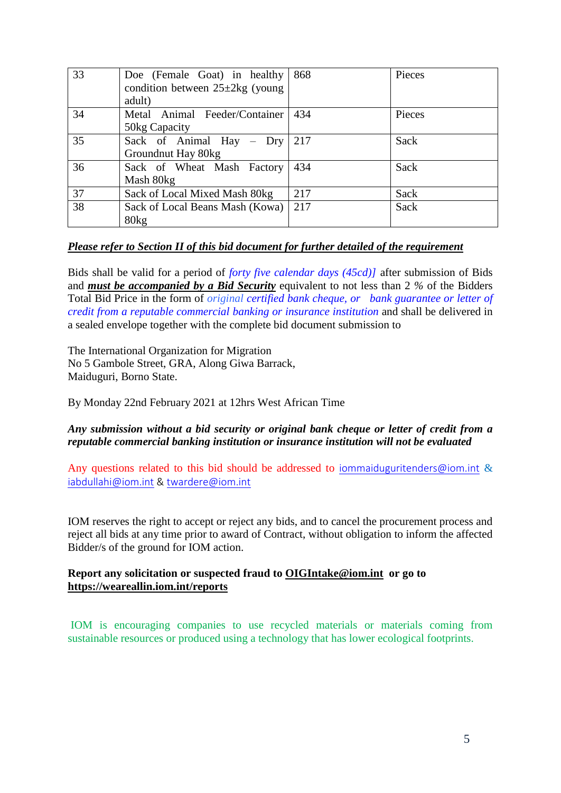| 33 | Doe (Female Goat) in healthy<br>condition between $25\pm 2\text{kg}$ (young<br>adult) | 868 | Pieces |
|----|---------------------------------------------------------------------------------------|-----|--------|
| 34 | Metal Animal Feeder/Container<br>50kg Capacity                                        | 434 | Pieces |
| 35 | Sack of Animal Hay – Dry<br>Groundnut Hay 80kg                                        | 217 | Sack   |
| 36 | Sack of Wheat Mash Factory<br>Mash 80kg                                               | 434 | Sack   |
| 37 | Sack of Local Mixed Mash 80kg                                                         | 217 | Sack   |
| 38 | Sack of Local Beans Mash (Kowa)<br>80 <sub>kg</sub>                                   | 217 | Sack   |

### *Please refer to Section II of this bid document for further detailed of the requirement*

Bids shall be valid for a period of *forty five calendar days (45cd)]* after submission of Bids and *must be accompanied by a Bid Security* equivalent to not less than 2 *%* of the Bidders Total Bid Price in the form of *original certified bank cheque, or bank guarantee or letter of credit from a reputable commercial banking or insurance institution* and shall be delivered in a sealed envelope together with the complete bid document submission to

The International Organization for Migration No 5 Gambole Street, GRA, Along Giwa Barrack, Maiduguri, Borno State.

By Monday 22nd February 2021 at 12hrs West African Time

### *Any submission without a bid security or original bank cheque or letter of credit from a reputable commercial banking institution or insurance institution will not be evaluated*

Any questions related to this bid should be addressed to [iommaiduguritenders@iom.int](mailto:iommaiduguritenders@iom.int) & [iabdullahi@iom.int](mailto:iabdullahi@iom.int) & [twardere@iom.int](mailto:twardere@iom.int) 

IOM reserves the right to accept or reject any bids, and to cancel the procurement process and reject all bids at any time prior to award of Contract, without obligation to inform the affected Bidder/s of the ground for IOM action.

### **Report any solicitation or suspected fraud to [OIGIntake@iom.int](mailto:OIGIntake@iom.int) or go to <https://weareallin.iom.int/reports>**

IOM is encouraging companies to use recycled materials or materials coming from sustainable resources or produced using a technology that has lower ecological footprints.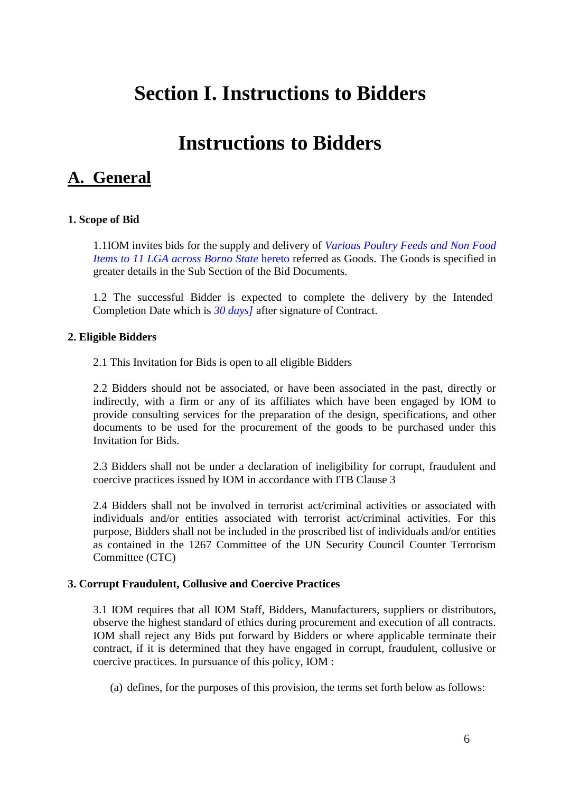# <span id="page-5-0"></span>**Section I. Instructions to Bidders**

# **Instructions to Bidders**

# <span id="page-5-1"></span>**A. General**

### <span id="page-5-2"></span>**1. Scope of Bid**

1.1IOM invites bids for the supply and delivery of *Various Poultry Feeds and Non Food Items to 11 LGA across Borno State* hereto referred as Goods. The Goods is specified in greater details in the Sub Section of the Bid Documents.

1.2 The successful Bidder is expected to complete the delivery by the Intended Completion Date which is *30 days]* after signature of Contract.

### <span id="page-5-3"></span>**2. Eligible Bidders**

2.1 This Invitation for Bids is open to all eligible Bidders

2.2 Bidders should not be associated, or have been associated in the past, directly or indirectly, with a firm or any of its affiliates which have been engaged by IOM to provide consulting services for the preparation of the design, specifications, and other documents to be used for the procurement of the goods to be purchased under this Invitation for Bids.

2.3 Bidders shall not be under a declaration of ineligibility for corrupt, fraudulent and coercive practices issued by IOM in accordance with ITB Clause 3

2.4 Bidders shall not be involved in terrorist act/criminal activities or associated with individuals and/or entities associated with terrorist act/criminal activities. For this purpose, Bidders shall not be included in the proscribed list of individuals and/or entities as contained in the 1267 Committee of the UN Security Council Counter Terrorism Committee (CTC)

### <span id="page-5-4"></span>**3. Corrupt Fraudulent, Collusive and Coercive Practices**

3.1 IOM requires that all IOM Staff, Bidders, Manufacturers, suppliers or distributors, observe the highest standard of ethics during procurement and execution of all contracts. IOM shall reject any Bids put forward by Bidders or where applicable terminate their contract, if it is determined that they have engaged in corrupt, fraudulent, collusive or coercive practices. In pursuance of this policy, IOM :

(a) defines, for the purposes of this provision, the terms set forth below as follows: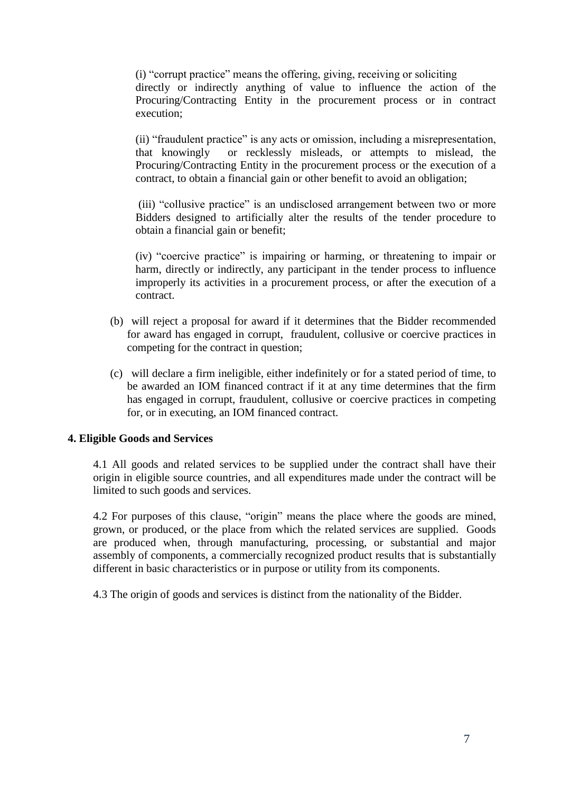(i) "corrupt practice" means the offering, giving, receiving or soliciting directly or indirectly anything of value to influence the action of the Procuring/Contracting Entity in the procurement process or in contract execution;

(ii) "fraudulent practice" is any acts or omission, including a misrepresentation, that knowingly or recklessly misleads, or attempts to mislead, the Procuring/Contracting Entity in the procurement process or the execution of a contract, to obtain a financial gain or other benefit to avoid an obligation;

(iii) "collusive practice" is an undisclosed arrangement between two or more Bidders designed to artificially alter the results of the tender procedure to obtain a financial gain or benefit;

(iv) "coercive practice" is impairing or harming, or threatening to impair or harm, directly or indirectly, any participant in the tender process to influence improperly its activities in a procurement process, or after the execution of a contract.

- (b) will reject a proposal for award if it determines that the Bidder recommended for award has engaged in corrupt, fraudulent, collusive or coercive practices in competing for the contract in question;
- (c) will declare a firm ineligible, either indefinitely or for a stated period of time, to be awarded an IOM financed contract if it at any time determines that the firm has engaged in corrupt, fraudulent, collusive or coercive practices in competing for, or in executing, an IOM financed contract.

### <span id="page-6-0"></span>**4. Eligible Goods and Services**

4.1 All goods and related services to be supplied under the contract shall have their origin in eligible source countries, and all expenditures made under the contract will be limited to such goods and services.

4.2 For purposes of this clause, "origin" means the place where the goods are mined, grown, or produced, or the place from which the related services are supplied. Goods are produced when, through manufacturing, processing, or substantial and major assembly of components, a commercially recognized product results that is substantially different in basic characteristics or in purpose or utility from its components.

4.3 The origin of goods and services is distinct from the nationality of the Bidder.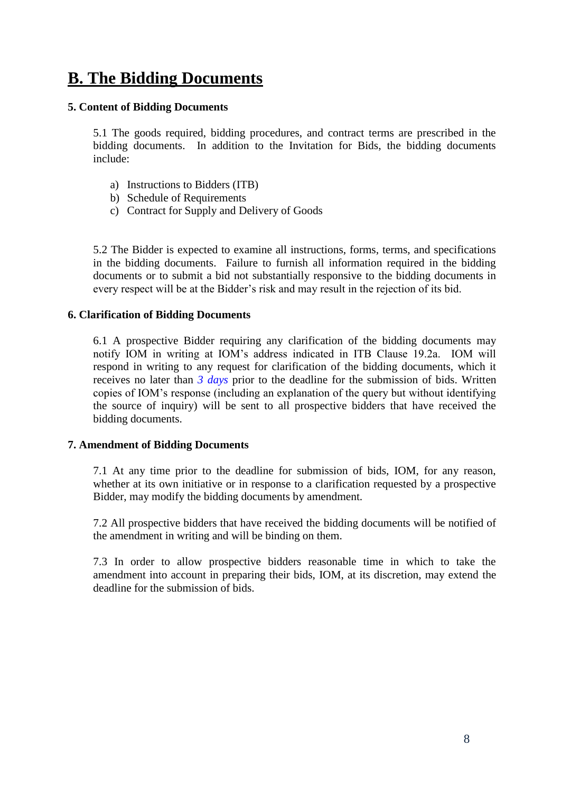# <span id="page-7-0"></span>**B. The Bidding Documents**

### <span id="page-7-1"></span>**5. Content of Bidding Documents**

5.1 The goods required, bidding procedures, and contract terms are prescribed in the bidding documents. In addition to the Invitation for Bids, the bidding documents include:

- a) Instructions to Bidders (ITB)
- b) Schedule of Requirements
- c) Contract for Supply and Delivery of Goods

5.2 The Bidder is expected to examine all instructions, forms, terms, and specifications in the bidding documents. Failure to furnish all information required in the bidding documents or to submit a bid not substantially responsive to the bidding documents in every respect will be at the Bidder's risk and may result in the rejection of its bid.

### <span id="page-7-2"></span>**6. Clarification of Bidding Documents**

6.1 A prospective Bidder requiring any clarification of the bidding documents may notify IOM in writing at IOM's address indicated in ITB Clause 19.2a. IOM will respond in writing to any request for clarification of the bidding documents, which it receives no later than *3 days* prior to the deadline for the submission of bids. Written copies of IOM's response (including an explanation of the query but without identifying the source of inquiry) will be sent to all prospective bidders that have received the bidding documents.

### <span id="page-7-3"></span>**7. Amendment of Bidding Documents**

7.1 At any time prior to the deadline for submission of bids, IOM, for any reason, whether at its own initiative or in response to a clarification requested by a prospective Bidder, may modify the bidding documents by amendment.

7.2 All prospective bidders that have received the bidding documents will be notified of the amendment in writing and will be binding on them.

7.3 In order to allow prospective bidders reasonable time in which to take the amendment into account in preparing their bids, IOM, at its discretion, may extend the deadline for the submission of bids.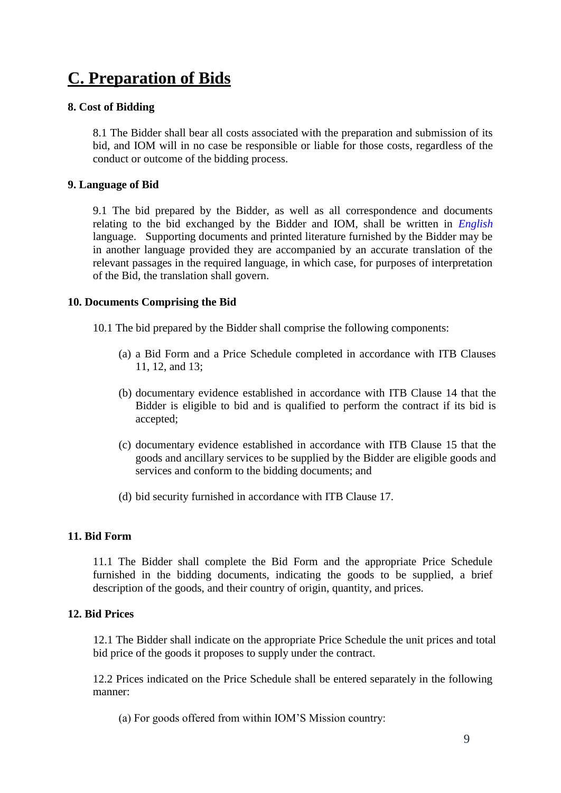# <span id="page-8-0"></span>**C. Preparation of Bids**

### <span id="page-8-1"></span>**8. Cost of Bidding**

8.1 The Bidder shall bear all costs associated with the preparation and submission of its bid, and IOM will in no case be responsible or liable for those costs, regardless of the conduct or outcome of the bidding process.

### <span id="page-8-2"></span>**9. Language of Bid**

9.1 The bid prepared by the Bidder, as well as all correspondence and documents relating to the bid exchanged by the Bidder and IOM, shall be written in *English* language. Supporting documents and printed literature furnished by the Bidder may be in another language provided they are accompanied by an accurate translation of the relevant passages in the required language, in which case, for purposes of interpretation of the Bid, the translation shall govern.

### <span id="page-8-3"></span>**10. Documents Comprising the Bid**

- 10.1 The bid prepared by the Bidder shall comprise the following components:
	- (a) a Bid Form and a Price Schedule completed in accordance with ITB Clauses 11, 12, and 13;
	- (b) documentary evidence established in accordance with ITB Clause 14 that the Bidder is eligible to bid and is qualified to perform the contract if its bid is accepted;
	- (c) documentary evidence established in accordance with ITB Clause 15 that the goods and ancillary services to be supplied by the Bidder are eligible goods and services and conform to the bidding documents; and
	- (d) bid security furnished in accordance with ITB Clause 17.

### <span id="page-8-4"></span>**11. Bid Form**

11.1 The Bidder shall complete the Bid Form and the appropriate Price Schedule furnished in the bidding documents, indicating the goods to be supplied, a brief description of the goods, and their country of origin, quantity, and prices.

### <span id="page-8-5"></span>**12. Bid Prices**

12.1 The Bidder shall indicate on the appropriate Price Schedule the unit prices and total bid price of the goods it proposes to supply under the contract.

12.2 Prices indicated on the Price Schedule shall be entered separately in the following manner:

(a) For goods offered from within IOM'S Mission country: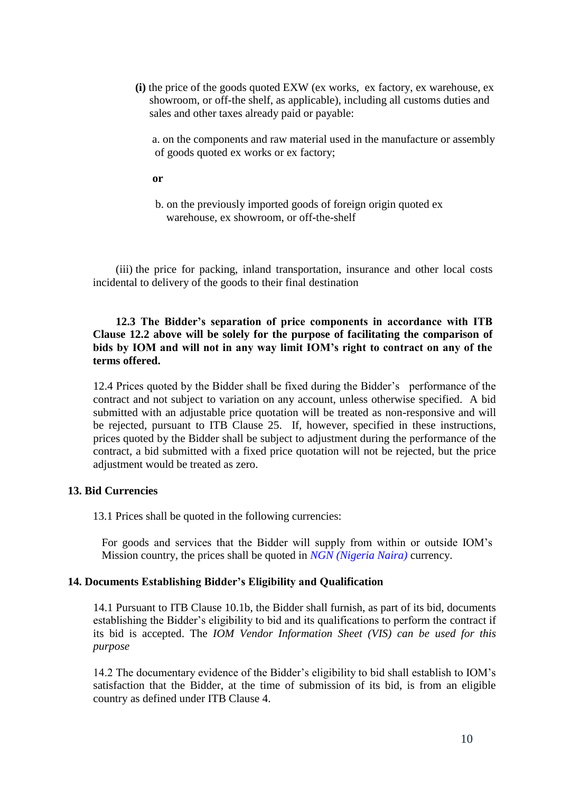**(i)** the price of the goods quoted EXW (ex works, ex factory, ex warehouse, ex showroom, or off-the shelf, as applicable), including all customs duties and sales and other taxes already paid or payable:

 a. on the components and raw material used in the manufacture or assembly of goods quoted ex works or ex factory;

**or**

 b. on the previously imported goods of foreign origin quoted ex warehouse, ex showroom, or off-the-shelf

 (iii) the price for packing, inland transportation, insurance and other local costs incidental to delivery of the goods to their final destination

### **12.3 The Bidder's separation of price components in accordance with ITB Clause 12.2 above will be solely for the purpose of facilitating the comparison of bids by IOM and will not in any way limit IOM's right to contract on any of the terms offered.**

12.4 Prices quoted by the Bidder shall be fixed during the Bidder's performance of the contract and not subject to variation on any account, unless otherwise specified. A bid submitted with an adjustable price quotation will be treated as non-responsive and will be rejected, pursuant to ITB Clause 25. If, however, specified in these instructions, prices quoted by the Bidder shall be subject to adjustment during the performance of the contract, a bid submitted with a fixed price quotation will not be rejected, but the price adjustment would be treated as zero.

### <span id="page-9-0"></span>**13. Bid Currencies**

13.1 Prices shall be quoted in the following currencies:

For goods and services that the Bidder will supply from within or outside IOM's Mission country, the prices shall be quoted in *NGN (Nigeria Naira)* currency.

### <span id="page-9-1"></span>**14. Documents Establishing Bidder's Eligibility and Qualification**

14.1 Pursuant to ITB Clause 10.1b, the Bidder shall furnish, as part of its bid, documents establishing the Bidder's eligibility to bid and its qualifications to perform the contract if its bid is accepted. The *IOM Vendor Information Sheet (VIS) can be used for this purpose* 

14.2 The documentary evidence of the Bidder's eligibility to bid shall establish to IOM's satisfaction that the Bidder, at the time of submission of its bid, is from an eligible country as defined under ITB Clause 4.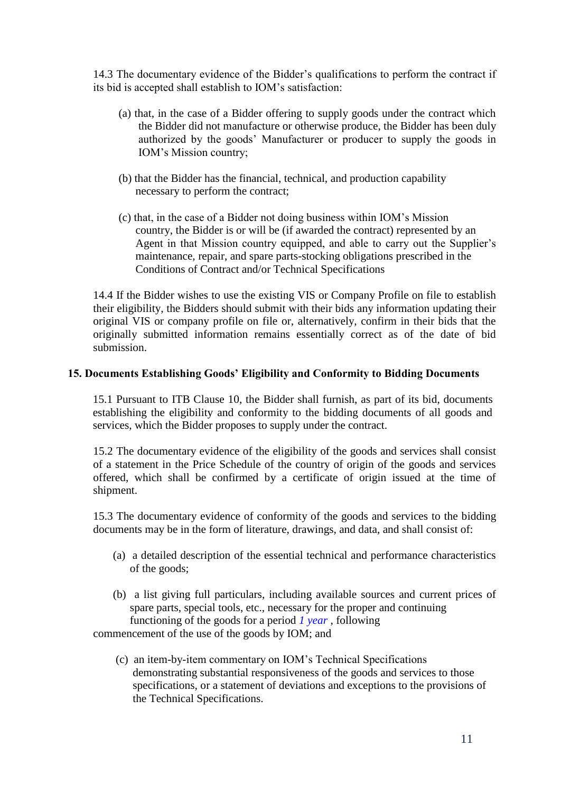14.3 The documentary evidence of the Bidder's qualifications to perform the contract if its bid is accepted shall establish to IOM's satisfaction:

- (a) that, in the case of a Bidder offering to supply goods under the contract which the Bidder did not manufacture or otherwise produce, the Bidder has been duly authorized by the goods' Manufacturer or producer to supply the goods in IOM's Mission country;
- (b) that the Bidder has the financial, technical, and production capability necessary to perform the contract;
- (c) that, in the case of a Bidder not doing business within IOM's Mission country, the Bidder is or will be (if awarded the contract) represented by an Agent in that Mission country equipped, and able to carry out the Supplier's maintenance, repair, and spare parts-stocking obligations prescribed in the Conditions of Contract and/or Technical Specifications

14.4 If the Bidder wishes to use the existing VIS or Company Profile on file to establish their eligibility, the Bidders should submit with their bids any information updating their original VIS or company profile on file or, alternatively, confirm in their bids that the originally submitted information remains essentially correct as of the date of bid submission.

### <span id="page-10-0"></span>**15. Documents Establishing Goods' Eligibility and Conformity to Bidding Documents**

15.1 Pursuant to ITB Clause 10, the Bidder shall furnish, as part of its bid, documents establishing the eligibility and conformity to the bidding documents of all goods and services, which the Bidder proposes to supply under the contract.

15.2 The documentary evidence of the eligibility of the goods and services shall consist of a statement in the Price Schedule of the country of origin of the goods and services offered, which shall be confirmed by a certificate of origin issued at the time of shipment.

15.3 The documentary evidence of conformity of the goods and services to the bidding documents may be in the form of literature, drawings, and data, and shall consist of:

- (a) a detailed description of the essential technical and performance characteristics of the goods;
- (b) a list giving full particulars, including available sources and current prices of spare parts, special tools, etc., necessary for the proper and continuing functioning of the goods for a period *1 year* , following

commencement of the use of the goods by IOM; and

 (c) an item-by-item commentary on IOM's Technical Specifications demonstrating substantial responsiveness of the goods and services to those specifications, or a statement of deviations and exceptions to the provisions of the Technical Specifications.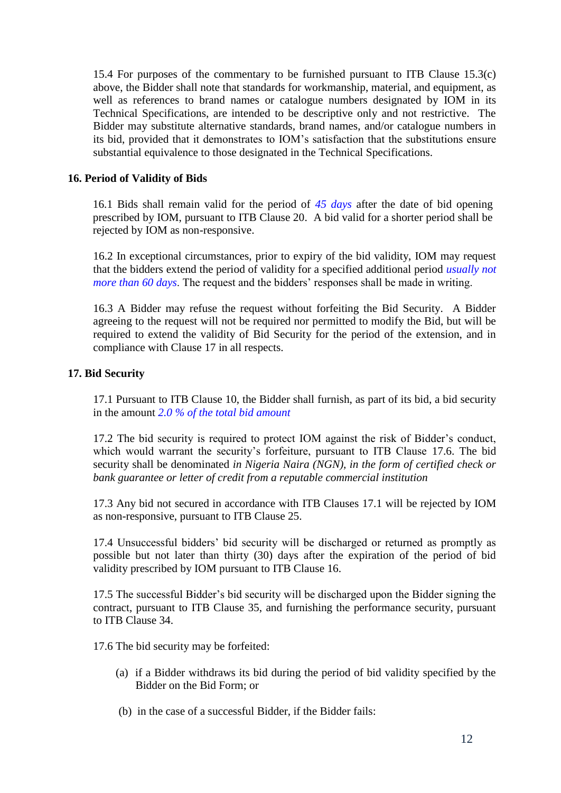15.4 For purposes of the commentary to be furnished pursuant to ITB Clause 15.3(c) above, the Bidder shall note that standards for workmanship, material, and equipment, as well as references to brand names or catalogue numbers designated by IOM in its Technical Specifications, are intended to be descriptive only and not restrictive. The Bidder may substitute alternative standards, brand names, and/or catalogue numbers in its bid, provided that it demonstrates to IOM's satisfaction that the substitutions ensure substantial equivalence to those designated in the Technical Specifications.

### <span id="page-11-0"></span>**16. Period of Validity of Bids**

16.1 Bids shall remain valid for the period of *45 days* after the date of bid opening prescribed by IOM, pursuant to ITB Clause 20. A bid valid for a shorter period shall be rejected by IOM as non-responsive.

16.2 In exceptional circumstances, prior to expiry of the bid validity, IOM may request that the bidders extend the period of validity for a specified additional period *usually not more than 60 days*. The request and the bidders' responses shall be made in writing.

16.3 A Bidder may refuse the request without forfeiting the Bid Security. A Bidder agreeing to the request will not be required nor permitted to modify the Bid, but will be required to extend the validity of Bid Security for the period of the extension, and in compliance with Clause 17 in all respects.

### <span id="page-11-1"></span>**17. Bid Security**

17.1 Pursuant to ITB Clause 10, the Bidder shall furnish, as part of its bid, a bid security in the amount *2.0 % of the total bid amount* 

17.2 The bid security is required to protect IOM against the risk of Bidder's conduct, which would warrant the security's forfeiture, pursuant to ITB Clause 17.6. The bid security shall be denominated *in Nigeria Naira (NGN), in the form of certified check or bank guarantee or letter of credit from a reputable commercial institution* 

17.3 Any bid not secured in accordance with ITB Clauses 17.1 will be rejected by IOM as non-responsive, pursuant to ITB Clause 25.

17.4 Unsuccessful bidders' bid security will be discharged or returned as promptly as possible but not later than thirty (30) days after the expiration of the period of bid validity prescribed by IOM pursuant to ITB Clause 16.

17.5 The successful Bidder's bid security will be discharged upon the Bidder signing the contract, pursuant to ITB Clause 35, and furnishing the performance security, pursuant to ITB Clause 34.

17.6 The bid security may be forfeited:

- (a) if a Bidder withdraws its bid during the period of bid validity specified by the Bidder on the Bid Form; or
- (b) in the case of a successful Bidder, if the Bidder fails: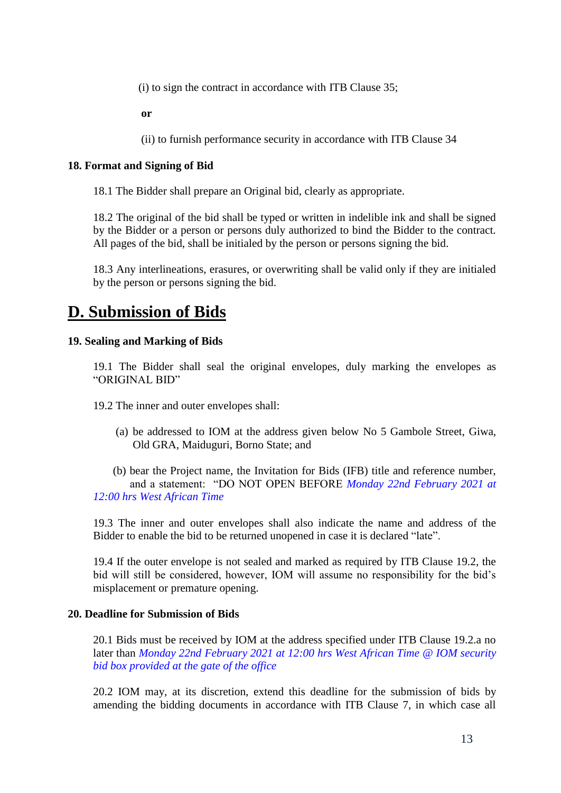(i) to sign the contract in accordance with ITB Clause 35;

**or**

(ii) to furnish performance security in accordance with ITB Clause 34

### <span id="page-12-0"></span>**18. Format and Signing of Bid**

18.1 The Bidder shall prepare an Original bid, clearly as appropriate.

18.2 The original of the bid shall be typed or written in indelible ink and shall be signed by the Bidder or a person or persons duly authorized to bind the Bidder to the contract. All pages of the bid, shall be initialed by the person or persons signing the bid.

18.3 Any interlineations, erasures, or overwriting shall be valid only if they are initialed by the person or persons signing the bid.

# <span id="page-12-1"></span>**D. Submission of Bids**

### <span id="page-12-2"></span>**19. Sealing and Marking of Bids**

19.1 The Bidder shall seal the original envelopes, duly marking the envelopes as "ORIGINAL BID"

19.2 The inner and outer envelopes shall:

(a) be addressed to IOM at the address given below No 5 Gambole Street, Giwa, Old GRA, Maiduguri, Borno State; and

 (b) bear the Project name, the Invitation for Bids (IFB) title and reference number, and a statement: "DO NOT OPEN BEFORE *Monday 22nd February 2021 at 12:00 hrs West African Time*

19.3 The inner and outer envelopes shall also indicate the name and address of the Bidder to enable the bid to be returned unopened in case it is declared "late".

19.4 If the outer envelope is not sealed and marked as required by ITB Clause 19.2, the bid will still be considered, however, IOM will assume no responsibility for the bid's misplacement or premature opening.

### <span id="page-12-3"></span>**20. Deadline for Submission of Bids**

20.1 Bids must be received by IOM at the address specified under ITB Clause 19.2.a no later than *Monday 22nd February 2021 at 12:00 hrs West African Time @ IOM security bid box provided at the gate of the office*

20.2 IOM may, at its discretion, extend this deadline for the submission of bids by amending the bidding documents in accordance with ITB Clause 7, in which case all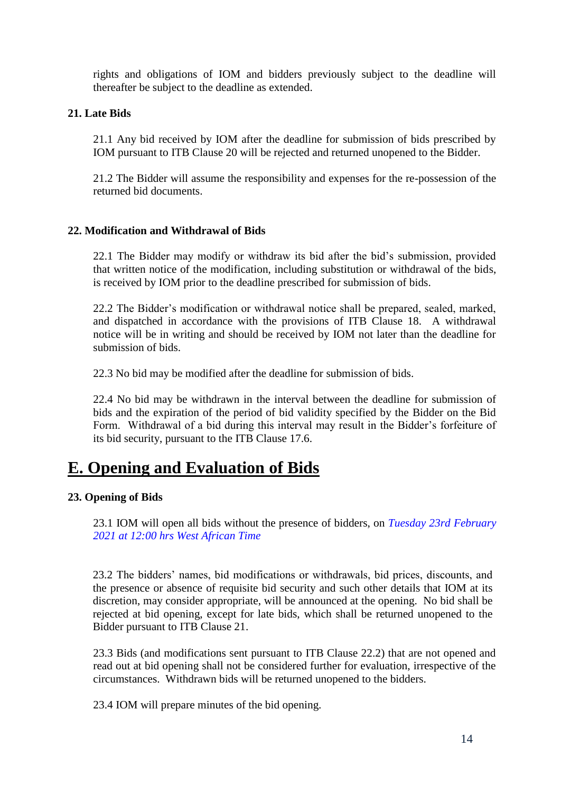rights and obligations of IOM and bidders previously subject to the deadline will thereafter be subject to the deadline as extended.

### <span id="page-13-0"></span>**21. Late Bids**

21.1 Any bid received by IOM after the deadline for submission of bids prescribed by IOM pursuant to ITB Clause 20 will be rejected and returned unopened to the Bidder.

21.2 The Bidder will assume the responsibility and expenses for the re-possession of the returned bid documents.

### <span id="page-13-1"></span>**22. Modification and Withdrawal of Bids**

22.1 The Bidder may modify or withdraw its bid after the bid's submission, provided that written notice of the modification, including substitution or withdrawal of the bids, is received by IOM prior to the deadline prescribed for submission of bids.

22.2 The Bidder's modification or withdrawal notice shall be prepared, sealed, marked, and dispatched in accordance with the provisions of ITB Clause 18. A withdrawal notice will be in writing and should be received by IOM not later than the deadline for submission of bids.

22.3 No bid may be modified after the deadline for submission of bids.

22.4 No bid may be withdrawn in the interval between the deadline for submission of bids and the expiration of the period of bid validity specified by the Bidder on the Bid Form. Withdrawal of a bid during this interval may result in the Bidder's forfeiture of its bid security, pursuant to the ITB Clause 17.6.

# <span id="page-13-2"></span>**E. Opening and Evaluation of Bids**

### <span id="page-13-3"></span>**23. Opening of Bids**

23.1 IOM will open all bids without the presence of bidders, on *Tuesday 23rd February 2021 at 12:00 hrs West African Time*

23.2 The bidders' names, bid modifications or withdrawals, bid prices, discounts, and the presence or absence of requisite bid security and such other details that IOM at its discretion, may consider appropriate, will be announced at the opening. No bid shall be rejected at bid opening, except for late bids, which shall be returned unopened to the Bidder pursuant to ITB Clause 21.

23.3 Bids (and modifications sent pursuant to ITB Clause 22.2) that are not opened and read out at bid opening shall not be considered further for evaluation, irrespective of the circumstances. Withdrawn bids will be returned unopened to the bidders.

23.4 IOM will prepare minutes of the bid opening.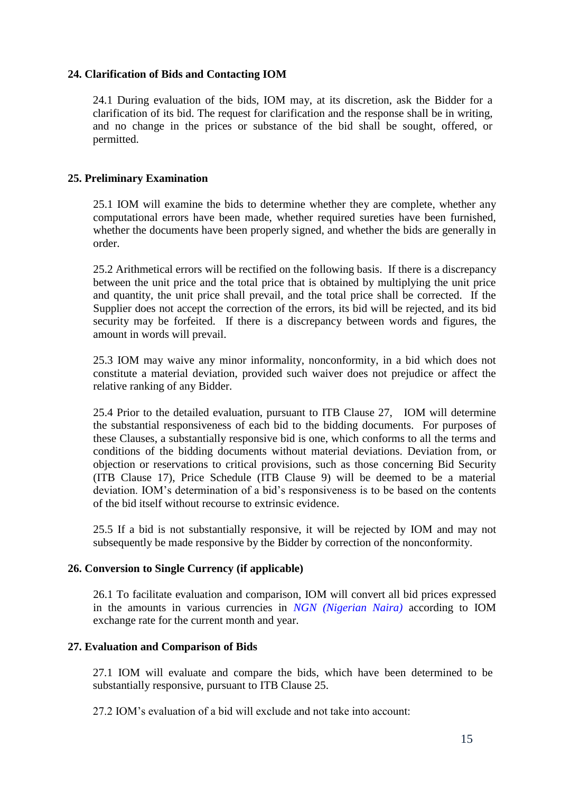### <span id="page-14-0"></span>**24. Clarification of Bids and Contacting IOM**

24.1 During evaluation of the bids, IOM may, at its discretion, ask the Bidder for a clarification of its bid. The request for clarification and the response shall be in writing, and no change in the prices or substance of the bid shall be sought, offered, or permitted.

### <span id="page-14-1"></span>**25. Preliminary Examination**

25.1 IOM will examine the bids to determine whether they are complete, whether any computational errors have been made, whether required sureties have been furnished, whether the documents have been properly signed, and whether the bids are generally in order.

25.2 Arithmetical errors will be rectified on the following basis. If there is a discrepancy between the unit price and the total price that is obtained by multiplying the unit price and quantity, the unit price shall prevail, and the total price shall be corrected. If the Supplier does not accept the correction of the errors, its bid will be rejected, and its bid security may be forfeited. If there is a discrepancy between words and figures, the amount in words will prevail.

25.3 IOM may waive any minor informality, nonconformity, in a bid which does not constitute a material deviation, provided such waiver does not prejudice or affect the relative ranking of any Bidder.

25.4 Prior to the detailed evaluation, pursuant to ITB Clause 27, IOM will determine the substantial responsiveness of each bid to the bidding documents. For purposes of these Clauses, a substantially responsive bid is one, which conforms to all the terms and conditions of the bidding documents without material deviations. Deviation from, or objection or reservations to critical provisions, such as those concerning Bid Security (ITB Clause 17), Price Schedule (ITB Clause 9) will be deemed to be a material deviation. IOM's determination of a bid's responsiveness is to be based on the contents of the bid itself without recourse to extrinsic evidence.

25.5 If a bid is not substantially responsive, it will be rejected by IOM and may not subsequently be made responsive by the Bidder by correction of the nonconformity.

### <span id="page-14-2"></span>**26. Conversion to Single Currency (if applicable)**

26.1 To facilitate evaluation and comparison, IOM will convert all bid prices expressed in the amounts in various currencies in *NGN (Nigerian Naira)* according to IOM exchange rate for the current month and year.

### <span id="page-14-3"></span>**27. Evaluation and Comparison of Bids**

27.1 IOM will evaluate and compare the bids, which have been determined to be substantially responsive, pursuant to ITB Clause 25.

27.2 IOM's evaluation of a bid will exclude and not take into account: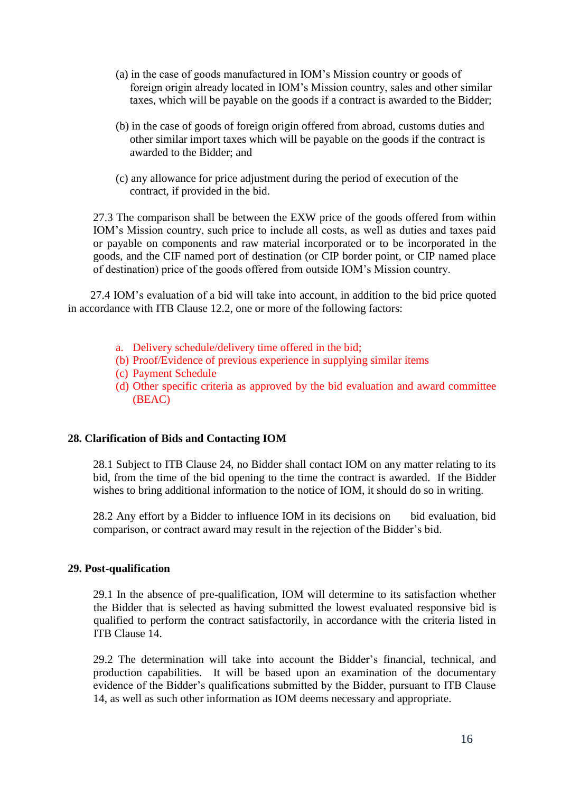- (a) in the case of goods manufactured in IOM's Mission country or goods of foreign origin already located in IOM's Mission country, sales and other similar taxes, which will be payable on the goods if a contract is awarded to the Bidder;
- (b) in the case of goods of foreign origin offered from abroad, customs duties and other similar import taxes which will be payable on the goods if the contract is awarded to the Bidder; and
- (c) any allowance for price adjustment during the period of execution of the contract, if provided in the bid.

27.3 The comparison shall be between the EXW price of the goods offered from within IOM's Mission country, such price to include all costs, as well as duties and taxes paid or payable on components and raw material incorporated or to be incorporated in the goods, and the CIF named port of destination (or CIP border point, or CIP named place of destination) price of the goods offered from outside IOM's Mission country.

27.4 IOM's evaluation of a bid will take into account, in addition to the bid price quoted in accordance with ITB Clause 12.2, one or more of the following factors:

- a. Delivery schedule/delivery time offered in the bid;
- (b) Proof/Evidence of previous experience in supplying similar items
- (c) Payment Schedule
- (d) Other specific criteria as approved by the bid evaluation and award committee (BEAC)

### <span id="page-15-0"></span>**28. Clarification of Bids and Contacting IOM**

28.1 Subject to ITB Clause 24, no Bidder shall contact IOM on any matter relating to its bid, from the time of the bid opening to the time the contract is awarded. If the Bidder wishes to bring additional information to the notice of IOM, it should do so in writing.

28.2 Any effort by a Bidder to influence IOM in its decisions on bid evaluation, bid comparison, or contract award may result in the rejection of the Bidder's bid.

### <span id="page-15-1"></span>**29. Post-qualification**

29.1 In the absence of pre-qualification, IOM will determine to its satisfaction whether the Bidder that is selected as having submitted the lowest evaluated responsive bid is qualified to perform the contract satisfactorily, in accordance with the criteria listed in ITB Clause 14.

29.2 The determination will take into account the Bidder's financial, technical, and production capabilities. It will be based upon an examination of the documentary evidence of the Bidder's qualifications submitted by the Bidder, pursuant to ITB Clause 14, as well as such other information as IOM deems necessary and appropriate.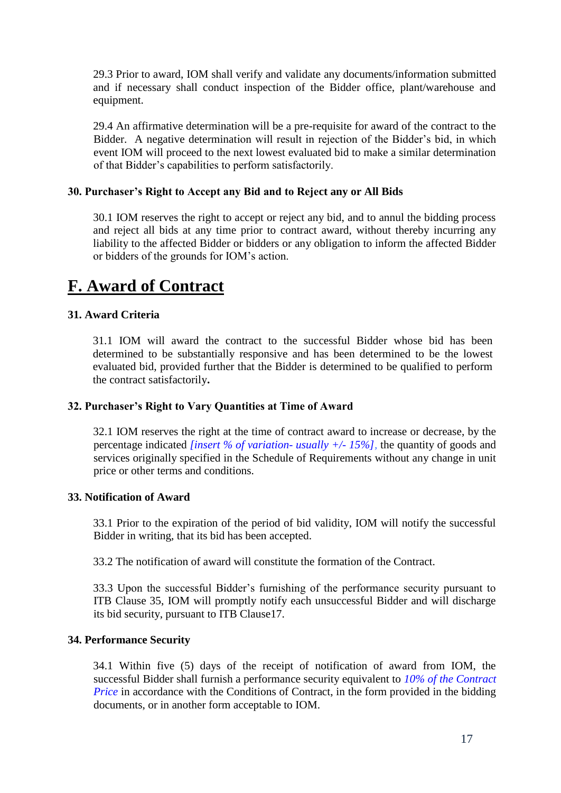29.3 Prior to award, IOM shall verify and validate any documents/information submitted and if necessary shall conduct inspection of the Bidder office, plant/warehouse and equipment.

29.4 An affirmative determination will be a pre-requisite for award of the contract to the Bidder. A negative determination will result in rejection of the Bidder's bid, in which event IOM will proceed to the next lowest evaluated bid to make a similar determination of that Bidder's capabilities to perform satisfactorily.

### <span id="page-16-0"></span>**30. Purchaser's Right to Accept any Bid and to Reject any or All Bids**

30.1 IOM reserves the right to accept or reject any bid, and to annul the bidding process and reject all bids at any time prior to contract award, without thereby incurring any liability to the affected Bidder or bidders or any obligation to inform the affected Bidder or bidders of the grounds for IOM's action.

# <span id="page-16-1"></span>**F. Award of Contract**

### <span id="page-16-2"></span>**31. Award Criteria**

31.1 IOM will award the contract to the successful Bidder whose bid has been determined to be substantially responsive and has been determined to be the lowest evaluated bid, provided further that the Bidder is determined to be qualified to perform the contract satisfactorily**.**

### <span id="page-16-3"></span>**32. Purchaser's Right to Vary Quantities at Time of Award**

32.1 IOM reserves the right at the time of contract award to increase or decrease, by the percentage indicated *[insert % of variation- usually +/- 15%],* the quantity of goods and services originally specified in the Schedule of Requirements without any change in unit price or other terms and conditions.

### <span id="page-16-4"></span>**33. Notification of Award**

33.1 Prior to the expiration of the period of bid validity, IOM will notify the successful Bidder in writing, that its bid has been accepted.

33.2 The notification of award will constitute the formation of the Contract.

33.3 Upon the successful Bidder's furnishing of the performance security pursuant to ITB Clause 35, IOM will promptly notify each unsuccessful Bidder and will discharge its bid security, pursuant to ITB Clause17.

### <span id="page-16-5"></span>**34. Performance Security**

34.1 Within five (5) days of the receipt of notification of award from IOM, the successful Bidder shall furnish a performance security equivalent to *10% of the Contract Price* in accordance with the Conditions of Contract, in the form provided in the bidding documents, or in another form acceptable to IOM.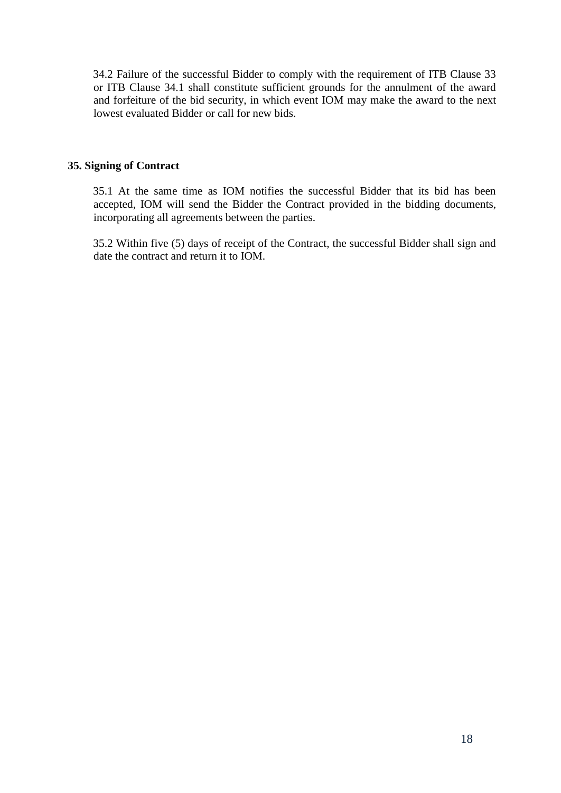34.2 Failure of the successful Bidder to comply with the requirement of ITB Clause 33 or ITB Clause 34.1 shall constitute sufficient grounds for the annulment of the award and forfeiture of the bid security, in which event IOM may make the award to the next lowest evaluated Bidder or call for new bids.

### <span id="page-17-0"></span>**35. Signing of Contract**

35.1 At the same time as IOM notifies the successful Bidder that its bid has been accepted, IOM will send the Bidder the Contract provided in the bidding documents, incorporating all agreements between the parties.

35.2 Within five (5) days of receipt of the Contract, the successful Bidder shall sign and date the contract and return it to IOM.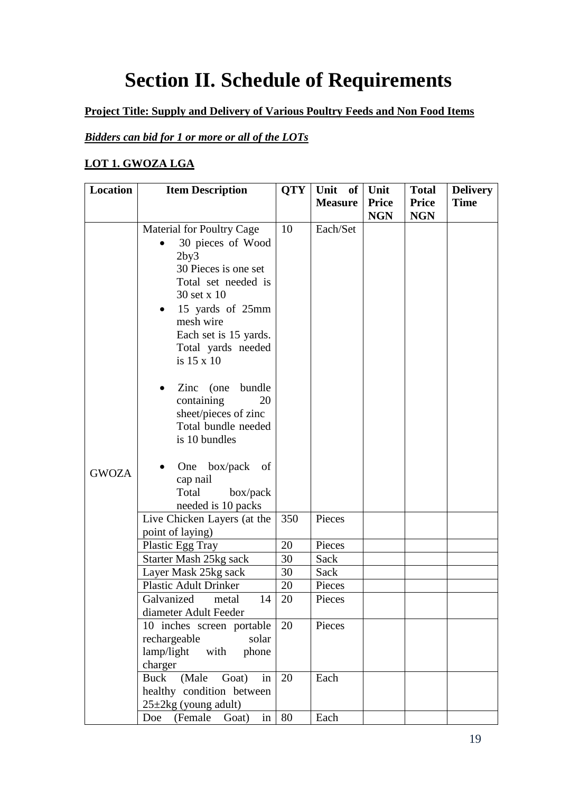# **Section II. Schedule of Requirements**

### <span id="page-18-0"></span>**Project Title: Supply and Delivery of Various Poultry Feeds and Non Food Items**

### *Bidders can bid for 1 or more or all of the LOTs*

### **LOT 1. GWOZA LGA**

| Location     | <b>Item Description</b>                                                                                                                                                                                                                                                                                                                              | <b>QTY</b> | Unit of        | Unit         | <b>Total</b> | <b>Delivery</b> |
|--------------|------------------------------------------------------------------------------------------------------------------------------------------------------------------------------------------------------------------------------------------------------------------------------------------------------------------------------------------------------|------------|----------------|--------------|--------------|-----------------|
|              |                                                                                                                                                                                                                                                                                                                                                      |            | <b>Measure</b> | <b>Price</b> | <b>Price</b> | <b>Time</b>     |
|              |                                                                                                                                                                                                                                                                                                                                                      |            |                | <b>NGN</b>   | <b>NGN</b>   |                 |
|              | Material for Poultry Cage<br>30 pieces of Wood<br>2by3<br>30 Pieces is one set<br>Total set needed is<br>30 set x 10<br>15 yards of 25mm<br>$\bullet$<br>mesh wire<br>Each set is 15 yards.<br>Total yards needed<br>is 15 x 10<br>bundle<br>$\text{Zinc}$ (one)<br>containing<br>20<br>sheet/pieces of zinc<br>Total bundle needed<br>is 10 bundles | 10         | Each/Set       |              |              |                 |
| <b>GWOZA</b> | One box/pack<br>of<br>cap nail<br>Total<br>box/pack<br>needed is 10 packs                                                                                                                                                                                                                                                                            |            |                |              |              |                 |
|              | Live Chicken Layers (at the                                                                                                                                                                                                                                                                                                                          | 350        | Pieces         |              |              |                 |
|              | point of laying)                                                                                                                                                                                                                                                                                                                                     |            |                |              |              |                 |
|              | Plastic Egg Tray                                                                                                                                                                                                                                                                                                                                     | 20         | Pieces         |              |              |                 |
|              | Starter Mash 25kg sack                                                                                                                                                                                                                                                                                                                               | 30         | Sack           |              |              |                 |
|              | Layer Mask 25kg sack                                                                                                                                                                                                                                                                                                                                 | 30         | Sack           |              |              |                 |
|              | <b>Plastic Adult Drinker</b>                                                                                                                                                                                                                                                                                                                         | 20         | Pieces         |              |              |                 |
|              | Galvanized<br>14<br>metal<br>diameter Adult Feeder                                                                                                                                                                                                                                                                                                   | 20         | Pieces         |              |              |                 |
|              | 10 inches screen portable<br>rechargeable<br>solar<br>with phone<br>lamp/light<br>charger                                                                                                                                                                                                                                                            | 20         | Pieces         |              |              |                 |
|              | in<br>(Male<br>Goat)<br>Buck<br>healthy condition between<br>$25 \pm 2$ kg (young adult)                                                                                                                                                                                                                                                             | 20         | Each           |              |              |                 |
|              | in<br>(Female<br>Doe<br>Goat)                                                                                                                                                                                                                                                                                                                        | 80         | Each           |              |              |                 |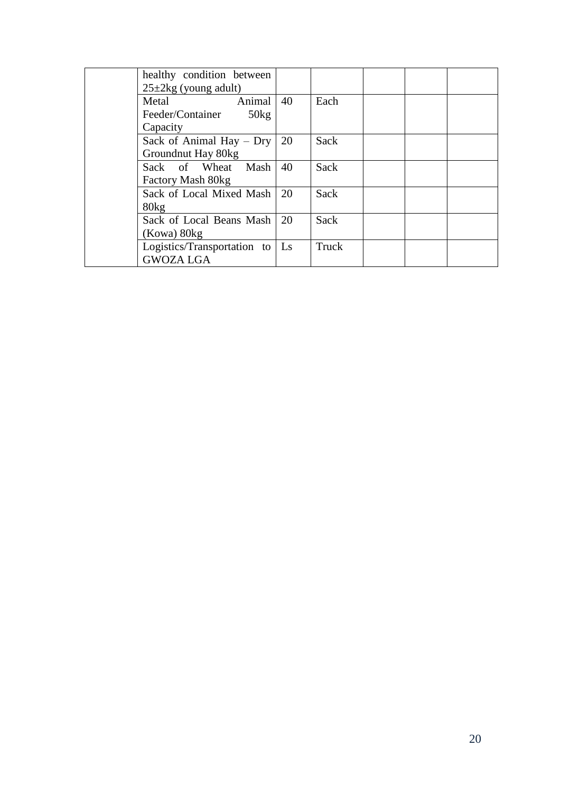| healthy condition between<br>$25\pm 2\text{kg}$ (young adult) |    |       |  |  |
|---------------------------------------------------------------|----|-------|--|--|
| Animal<br>Metal                                               | 40 | Each  |  |  |
| 50kg<br>Feeder/Container                                      |    |       |  |  |
| Capacity                                                      |    |       |  |  |
| Sack of Animal Hay $-$ Dry                                    | 20 | Sack  |  |  |
| Groundnut Hay 80kg                                            |    |       |  |  |
| Sack of Wheat Mash                                            | 40 | Sack  |  |  |
| Factory Mash 80kg                                             |    |       |  |  |
| Sack of Local Mixed Mash                                      | 20 | Sack  |  |  |
| 80kg                                                          |    |       |  |  |
| Sack of Local Beans Mash                                      | 20 | Sack  |  |  |
| (Kowa) 80kg                                                   |    |       |  |  |
| Logistics/Transportation to                                   | Ls | Truck |  |  |
| <b>GWOZA LGA</b>                                              |    |       |  |  |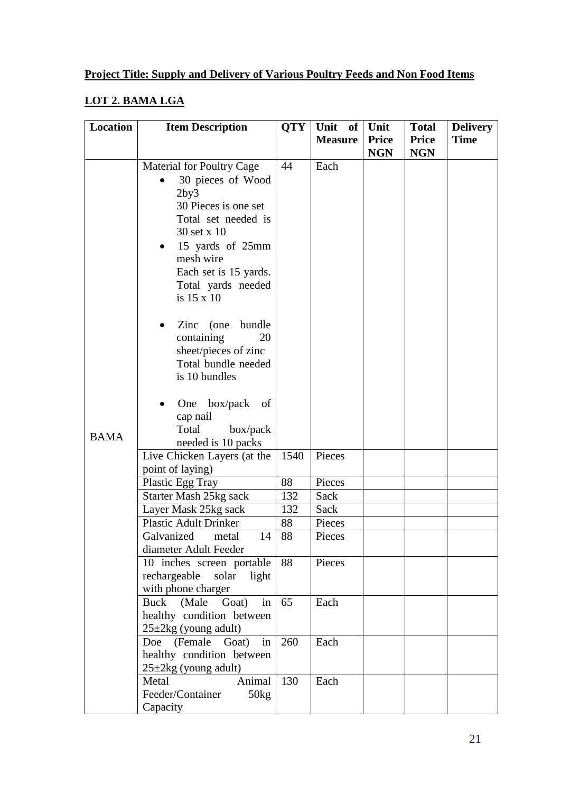### **LOT 2. BAMA LGA**

| <b>Location</b> | <b>Item Description</b>                                                                                                                                                               | <b>QTY</b> | Unit of        | Unit                       | <b>Total</b>               | <b>Delivery</b> |
|-----------------|---------------------------------------------------------------------------------------------------------------------------------------------------------------------------------------|------------|----------------|----------------------------|----------------------------|-----------------|
|                 |                                                                                                                                                                                       |            | <b>Measure</b> | <b>Price</b><br><b>NGN</b> | <b>Price</b><br><b>NGN</b> | <b>Time</b>     |
|                 | <b>Material for Poultry Cage</b>                                                                                                                                                      | 44         | Each           |                            |                            |                 |
|                 | 30 pieces of Wood<br>2by3<br>30 Pieces is one set<br>Total set needed is<br>30 set x 10<br>15 yards of 25mm<br>mesh wire<br>Each set is 15 yards.<br>Total yards needed<br>is 15 x 10 |            |                |                            |                            |                 |
|                 | $\text{Zinc}$ (one)<br>bundle<br>containing<br>20<br>sheet/pieces of zinc<br>Total bundle needed<br>is 10 bundles                                                                     |            |                |                            |                            |                 |
| <b>BAMA</b>     | box/pack<br>One<br>of<br>$\bullet$<br>cap nail<br>Total<br>box/pack<br>needed is 10 packs                                                                                             |            |                |                            |                            |                 |
|                 | Live Chicken Layers (at the<br>point of laying)                                                                                                                                       | 1540       | Pieces         |                            |                            |                 |
|                 | Plastic Egg Tray                                                                                                                                                                      | 88         | Pieces         |                            |                            |                 |
|                 | Starter Mash 25kg sack                                                                                                                                                                | 132        | Sack           |                            |                            |                 |
|                 | Layer Mask 25kg sack                                                                                                                                                                  | 132        | Sack           |                            |                            |                 |
|                 | <b>Plastic Adult Drinker</b>                                                                                                                                                          | 88         | Pieces         |                            |                            |                 |
|                 | 14<br>Galvanized<br>metal<br>diameter Adult Feeder                                                                                                                                    | 88         | Pieces         |                            |                            |                 |
|                 | 10 inches screen portable<br>rechargeable solar<br>light<br>with phone charger                                                                                                        | 88         | Pieces         |                            |                            |                 |
|                 | (Male<br>in<br>Buck<br>Goat)<br>healthy condition between<br>$25\pm 2\text{kg}$ (young adult)                                                                                         | 65         | Each           |                            |                            |                 |
|                 | Doe (Female Goat) in<br>healthy condition between<br>$25\pm 2\text{kg}$ (young adult)                                                                                                 | 260        | Each           |                            |                            |                 |
|                 | Metal<br>Animal<br>Feeder/Container<br>50kg<br>Capacity                                                                                                                               | 130        | Each           |                            |                            |                 |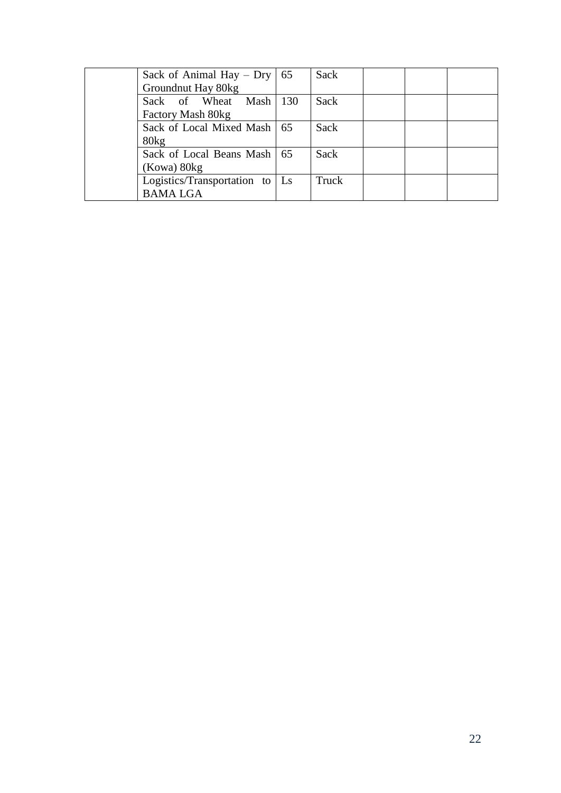| Sack of Animal Hay – Dry $\vert$ 65 | Sack  |  |  |
|-------------------------------------|-------|--|--|
| Groundnut Hay 80kg                  |       |  |  |
| Sack of Wheat Mash 130              | Sack  |  |  |
| Factory Mash 80kg                   |       |  |  |
| Sack of Local Mixed Mash   65       | Sack  |  |  |
| 80kg                                |       |  |  |
| Sack of Local Beans Mash   65       | Sack  |  |  |
| (Kowa) 80kg                         |       |  |  |
| Logistics/Transportation to   Ls    | Truck |  |  |
| <b>BAMA LGA</b>                     |       |  |  |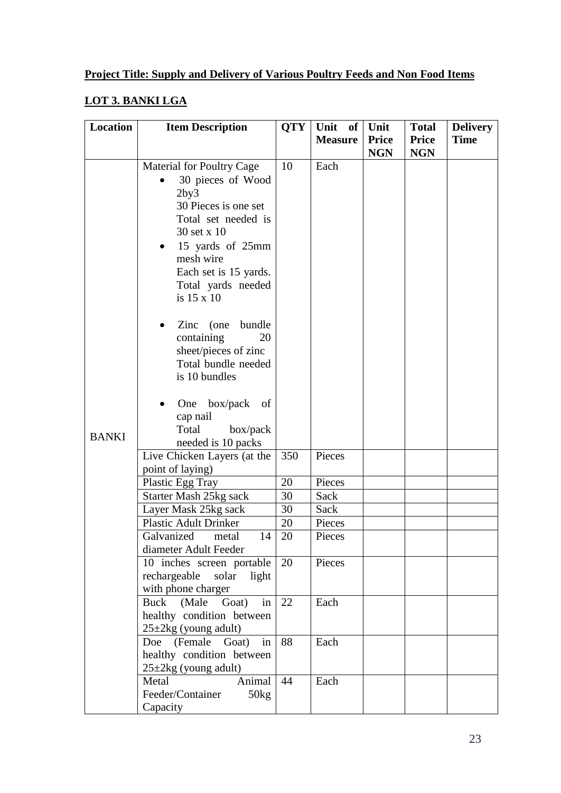# **LOT 3. BANKI LGA**

| Location     | <b>Item Description</b>                                                                                                                                                                                                                | <b>QTY</b> | Unit<br>of     | Unit       | <b>Total</b> | <b>Delivery</b> |
|--------------|----------------------------------------------------------------------------------------------------------------------------------------------------------------------------------------------------------------------------------------|------------|----------------|------------|--------------|-----------------|
|              |                                                                                                                                                                                                                                        |            | <b>Measure</b> | Price      | <b>Price</b> | <b>Time</b>     |
|              |                                                                                                                                                                                                                                        |            |                | <b>NGN</b> | <b>NGN</b>   |                 |
|              | <b>Material for Poultry Cage</b><br>30 pieces of Wood<br>2by3<br>30 Pieces is one set<br>Total set needed is<br>30 set x 10<br>15 yards of 25mm<br>$\bullet$<br>mesh wire<br>Each set is 15 yards.<br>Total yards needed<br>is 15 x 10 | 10         | Each           |            |              |                 |
|              | $\text{Zinc}$ (one)<br>bundle<br>containing<br>20<br>sheet/pieces of zinc<br>Total bundle needed<br>is 10 bundles<br>One<br>box/pack<br>of                                                                                             |            |                |            |              |                 |
| <b>BANKI</b> | cap nail<br>Total<br>box/pack<br>needed is 10 packs                                                                                                                                                                                    |            |                |            |              |                 |
|              | Live Chicken Layers (at the<br>point of laying)                                                                                                                                                                                        | 350        | Pieces         |            |              |                 |
|              | Plastic Egg Tray                                                                                                                                                                                                                       | 20         | Pieces         |            |              |                 |
|              | Starter Mash 25kg sack                                                                                                                                                                                                                 | 30         | Sack           |            |              |                 |
|              | Layer Mask 25kg sack                                                                                                                                                                                                                   | 30         | Sack           |            |              |                 |
|              | <b>Plastic Adult Drinker</b>                                                                                                                                                                                                           | 20         | Pieces         |            |              |                 |
|              | Galvanized<br>14<br>metal<br>diameter Adult Feeder                                                                                                                                                                                     | 20         | Pieces         |            |              |                 |
|              | 10 inches screen portable<br>rechargeable solar<br>light<br>with phone charger                                                                                                                                                         | 20         | Pieces         |            |              |                 |
|              | Buck (Male Goat)<br>in<br>healthy condition between<br>$25 \pm 2$ kg (young adult)                                                                                                                                                     | 22         | Each           |            |              |                 |
|              | Doe (Female Goat) in<br>healthy condition between<br>$25 \pm 2$ kg (young adult)                                                                                                                                                       | 88         | Each           |            |              |                 |
|              | Metal<br>Animal<br>Feeder/Container<br>50kg<br>Capacity                                                                                                                                                                                | 44         | Each           |            |              |                 |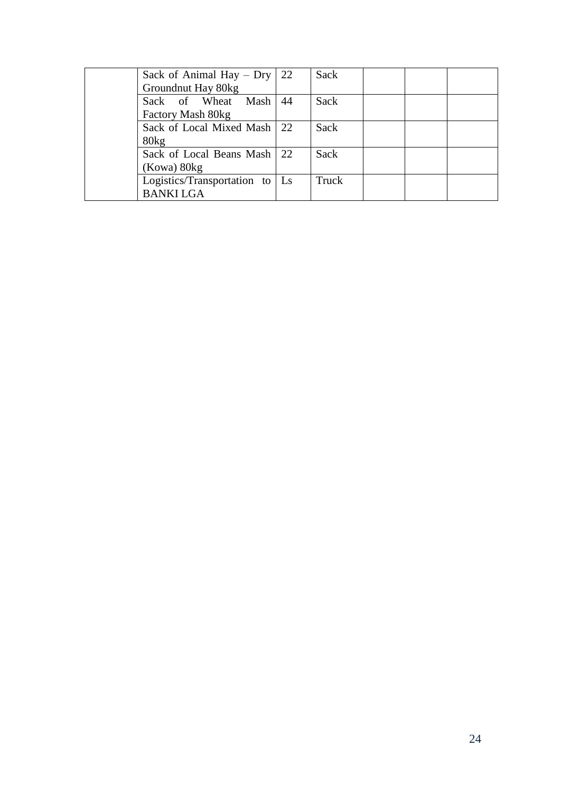| Sack of Animal Hay $-$ Dry   22        |     | Sack  |  |  |
|----------------------------------------|-----|-------|--|--|
| Groundnut Hay 80kg                     |     |       |  |  |
| Sack of Wheat Mash                     | -44 | Sack  |  |  |
| Factory Mash 80kg                      |     |       |  |  |
| Sack of Local Mixed Mash 22            |     | Sack  |  |  |
| 80kg                                   |     |       |  |  |
| Sack of Local Beans Mash 22            |     | Sack  |  |  |
| (Kowa) 80kg                            |     |       |  |  |
| Logistics/Transportation to $\vert$ Ls |     | Truck |  |  |
| <b>BANKI LGA</b>                       |     |       |  |  |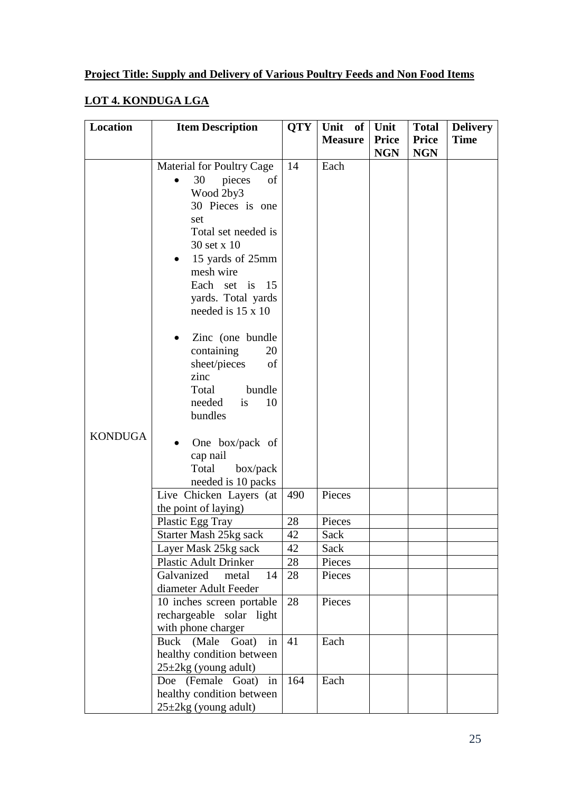### **LOT 4. KONDUGA LGA**

| <b>Location</b> | <b>Item Description</b>                                                                                                                                                                                                                                                                                                         | <b>QTY</b> | Unit of        | Unit                       | <b>Total</b>               | <b>Delivery</b> |
|-----------------|---------------------------------------------------------------------------------------------------------------------------------------------------------------------------------------------------------------------------------------------------------------------------------------------------------------------------------|------------|----------------|----------------------------|----------------------------|-----------------|
|                 |                                                                                                                                                                                                                                                                                                                                 |            | <b>Measure</b> | <b>Price</b><br><b>NGN</b> | <b>Price</b><br><b>NGN</b> | <b>Time</b>     |
|                 | <b>Material for Poultry Cage</b>                                                                                                                                                                                                                                                                                                | 14         | Each           |                            |                            |                 |
|                 | 30<br>pieces<br>of<br>Wood 2by3<br>30 Pieces is one<br>set<br>Total set needed is<br>30 set x 10<br>15 yards of 25mm<br>mesh wire<br>Each set is 15<br>yards. Total yards<br>needed is 15 x 10<br>Zinc (one bundle<br>containing<br>20<br>sheet/pieces<br>of<br>zinc<br>bundle<br>Total<br>needed<br>10<br><i>is</i><br>bundles |            |                |                            |                            |                 |
| <b>KONDUGA</b>  | One box/pack of<br>cap nail<br>Total<br>box/pack<br>needed is 10 packs                                                                                                                                                                                                                                                          |            |                |                            |                            |                 |
|                 | Live Chicken Layers (at<br>the point of laying)                                                                                                                                                                                                                                                                                 | 490        | Pieces         |                            |                            |                 |
|                 | Plastic Egg Tray                                                                                                                                                                                                                                                                                                                | 28         | Pieces         |                            |                            |                 |
|                 | Starter Mash 25kg sack                                                                                                                                                                                                                                                                                                          | 42         | Sack           |                            |                            |                 |
|                 | Layer Mask 25kg sack                                                                                                                                                                                                                                                                                                            | 42         | Sack           |                            |                            |                 |
|                 | <b>Plastic Adult Drinker</b>                                                                                                                                                                                                                                                                                                    | 28         | Pieces         |                            |                            |                 |
|                 | Galvanized<br>metal<br>14<br>diameter Adult Feeder                                                                                                                                                                                                                                                                              | 28         | Pieces         |                            |                            |                 |
|                 | 10 inches screen portable<br>rechargeable solar light<br>with phone charger                                                                                                                                                                                                                                                     | 28         | Pieces         |                            |                            |                 |
|                 | Buck (Male Goat) in<br>healthy condition between<br>$25 \pm 2$ kg (young adult)                                                                                                                                                                                                                                                 | 41         | Each           |                            |                            |                 |
|                 | Doe (Female Goat) in<br>healthy condition between<br>$25 \pm 2$ kg (young adult)                                                                                                                                                                                                                                                | 164        | Each           |                            |                            |                 |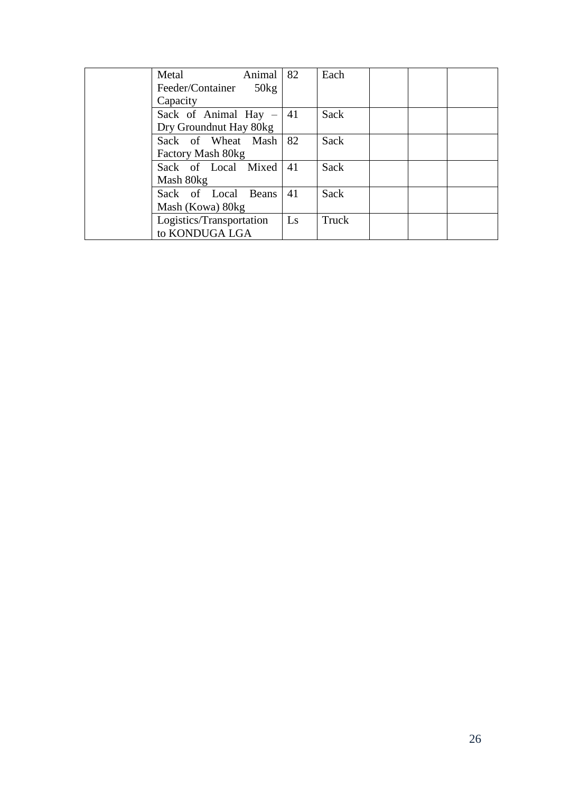| Metal                     | Animal        | 82                     | Each  |  |
|---------------------------|---------------|------------------------|-------|--|
| Feeder/Container          | $50\text{kg}$ |                        |       |  |
| Capacity                  |               |                        |       |  |
| Sack of Animal Hay $-$ 41 |               |                        | Sack  |  |
| Dry Groundnut Hay 80kg    |               |                        |       |  |
| Sack of Wheat Mash 82     |               |                        | Sack  |  |
| Factory Mash 80kg         |               |                        |       |  |
| Sack of Local Mixed       |               | 41                     | Sack  |  |
| Mash 80kg                 |               |                        |       |  |
| Sack of Local Beans       |               | 41                     | Sack  |  |
| Mash (Kowa) 80kg          |               |                        |       |  |
| Logistics/Transportation  |               | $\mathbf{L}\mathbf{s}$ | Truck |  |
| to KONDUGA LGA            |               |                        |       |  |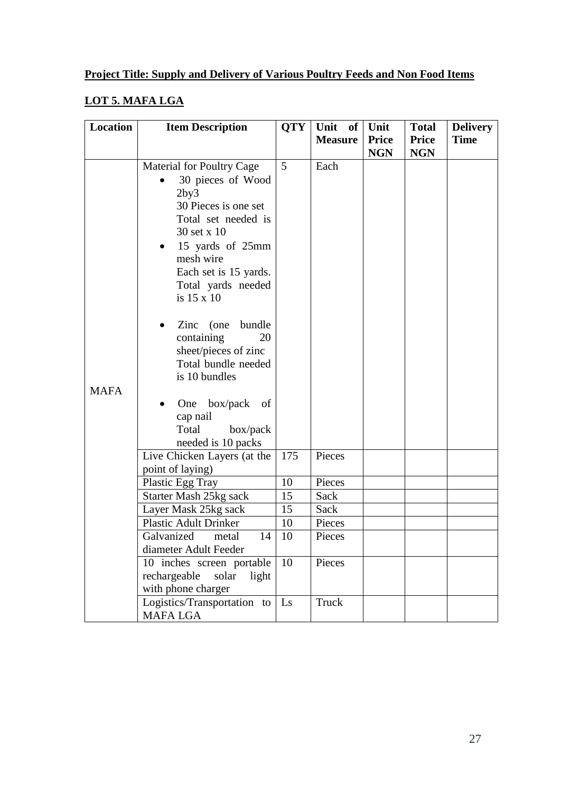### **LOT 5. MAFA LGA**

| <b>Location</b> | <b>Item Description</b>                                                                                                                                                                                                                                                                                                                                                                                                                                  | <b>QTY</b> | Unit of        | Unit         | <b>Total</b> | <b>Delivery</b> |
|-----------------|----------------------------------------------------------------------------------------------------------------------------------------------------------------------------------------------------------------------------------------------------------------------------------------------------------------------------------------------------------------------------------------------------------------------------------------------------------|------------|----------------|--------------|--------------|-----------------|
|                 |                                                                                                                                                                                                                                                                                                                                                                                                                                                          |            | <b>Measure</b> | <b>Price</b> | <b>Price</b> | <b>Time</b>     |
|                 |                                                                                                                                                                                                                                                                                                                                                                                                                                                          |            |                | <b>NGN</b>   | <b>NGN</b>   |                 |
| <b>MAFA</b>     | <b>Material for Poultry Cage</b><br>30 pieces of Wood<br>2by3<br>30 Pieces is one set<br>Total set needed is<br>30 set x 10<br>15 yards of 25mm<br>$\bullet$<br>mesh wire<br>Each set is 15 yards.<br>Total yards needed<br>is 15 x 10<br>$\text{Zinc}$ (one)<br>bundle<br>containing<br>20<br>sheet/pieces of zinc<br>Total bundle needed<br>is 10 bundles<br>box/pack<br>One<br>of<br>$\bullet$<br>cap nail<br>Total<br>box/pack<br>needed is 10 packs | 5          | Each           |              |              |                 |
|                 | Live Chicken Layers (at the<br>point of laying)                                                                                                                                                                                                                                                                                                                                                                                                          | 175        | Pieces         |              |              |                 |
|                 | Plastic Egg Tray                                                                                                                                                                                                                                                                                                                                                                                                                                         | 10         | Pieces         |              |              |                 |
|                 | Starter Mash 25kg sack                                                                                                                                                                                                                                                                                                                                                                                                                                   | 15         | Sack           |              |              |                 |
|                 | Layer Mask 25kg sack                                                                                                                                                                                                                                                                                                                                                                                                                                     | 15         | Sack           |              |              |                 |
|                 | <b>Plastic Adult Drinker</b>                                                                                                                                                                                                                                                                                                                                                                                                                             | 10         | Pieces         |              |              |                 |
|                 | Galvanized<br>14<br>metal                                                                                                                                                                                                                                                                                                                                                                                                                                | 10         | Pieces         |              |              |                 |
|                 | diameter Adult Feeder                                                                                                                                                                                                                                                                                                                                                                                                                                    |            |                |              |              |                 |
|                 | 10 inches screen portable<br>rechargeable<br>solar<br>light<br>with phone charger                                                                                                                                                                                                                                                                                                                                                                        | 10         | Pieces         |              |              |                 |
|                 | Logistics/Transportation to<br><b>MAFA LGA</b>                                                                                                                                                                                                                                                                                                                                                                                                           | Ls         | Truck          |              |              |                 |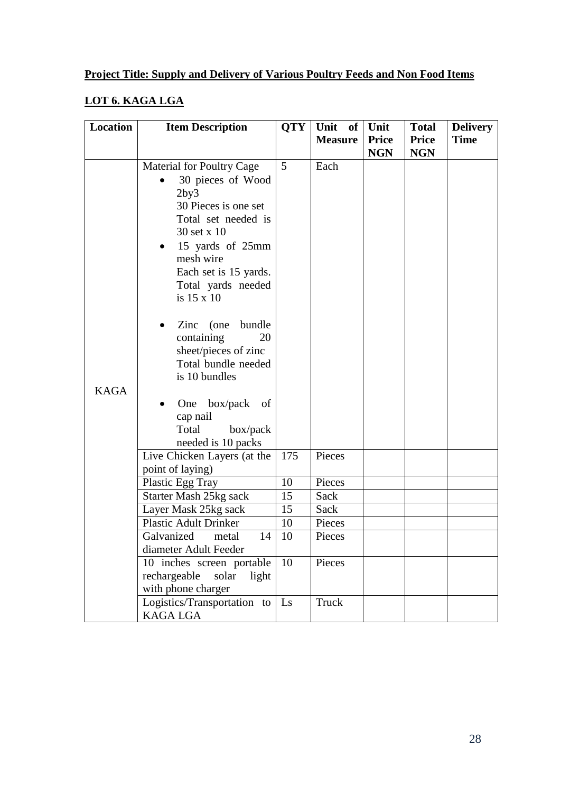### **LOT 6. KAGA LGA**

| Location    | <b>Item Description</b>                                                                                                                                                                                                                                                                                                                                                                                                              | <b>QTY</b> | Unit<br>of     | Unit         | <b>Total</b> | <b>Delivery</b> |
|-------------|--------------------------------------------------------------------------------------------------------------------------------------------------------------------------------------------------------------------------------------------------------------------------------------------------------------------------------------------------------------------------------------------------------------------------------------|------------|----------------|--------------|--------------|-----------------|
|             |                                                                                                                                                                                                                                                                                                                                                                                                                                      |            | <b>Measure</b> | <b>Price</b> | Price        | <b>Time</b>     |
|             |                                                                                                                                                                                                                                                                                                                                                                                                                                      |            |                | <b>NGN</b>   | <b>NGN</b>   |                 |
| <b>KAGA</b> | <b>Material for Poultry Cage</b><br>30 pieces of Wood<br>2by3<br>30 Pieces is one set<br>Total set needed is<br>30 set x 10<br>15 yards of 25mm<br>$\bullet$<br>mesh wire<br>Each set is 15 yards.<br>Total yards needed<br>is 15 x 10<br>bundle<br>Zinc<br>(one<br>containing<br>20<br>sheet/pieces of zinc<br>Total bundle needed<br>is 10 bundles<br>box/pack<br>One<br>of<br>cap nail<br>Total<br>box/pack<br>needed is 10 packs | 5          | Each           |              |              |                 |
|             | Live Chicken Layers (at the<br>point of laying)                                                                                                                                                                                                                                                                                                                                                                                      | 175        | Pieces         |              |              |                 |
|             | Plastic Egg Tray                                                                                                                                                                                                                                                                                                                                                                                                                     | 10         | Pieces         |              |              |                 |
|             | Starter Mash 25kg sack                                                                                                                                                                                                                                                                                                                                                                                                               | 15         | Sack           |              |              |                 |
|             | Layer Mask 25kg sack                                                                                                                                                                                                                                                                                                                                                                                                                 | 15         | Sack           |              |              |                 |
|             | <b>Plastic Adult Drinker</b>                                                                                                                                                                                                                                                                                                                                                                                                         | 10         | Pieces         |              |              |                 |
|             | Galvanized<br>14<br>metal                                                                                                                                                                                                                                                                                                                                                                                                            | 10         | Pieces         |              |              |                 |
|             | diameter Adult Feeder                                                                                                                                                                                                                                                                                                                                                                                                                |            |                |              |              |                 |
|             | 10 inches screen portable<br>rechargeable<br>solar<br>light<br>with phone charger                                                                                                                                                                                                                                                                                                                                                    | 10         | Pieces         |              |              |                 |
|             | Logistics/Transportation to<br><b>KAGA LGA</b>                                                                                                                                                                                                                                                                                                                                                                                       | Ls         | Truck          |              |              |                 |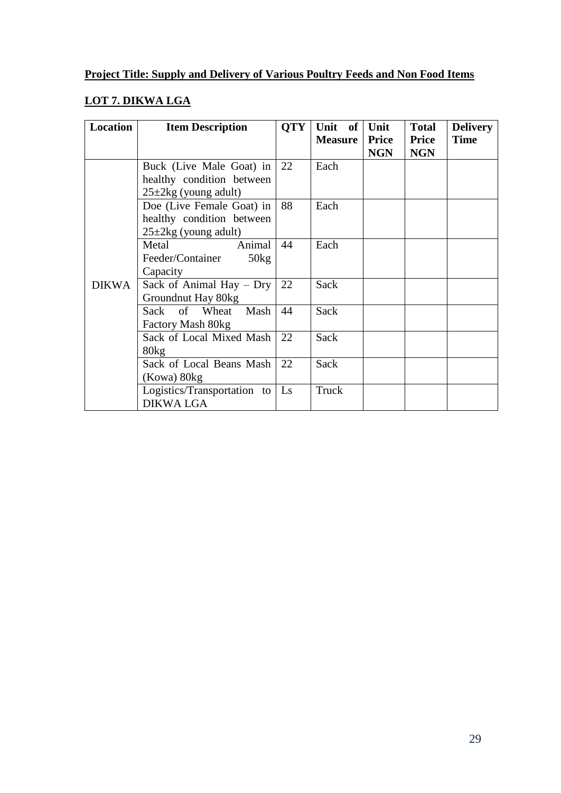### **LOT 7. DIKWA LGA**

| <b>Location</b> | <b>Item Description</b>          | <b>QTY</b> | Unit<br>of<br><b>Measure</b> | Unit<br><b>Price</b> | <b>Total</b><br><b>Price</b> | <b>Delivery</b><br><b>Time</b> |
|-----------------|----------------------------------|------------|------------------------------|----------------------|------------------------------|--------------------------------|
|                 |                                  |            |                              | <b>NGN</b>           | <b>NGN</b>                   |                                |
|                 | Buck (Live Male Goat) in         | 22         | Each                         |                      |                              |                                |
|                 | healthy condition between        |            |                              |                      |                              |                                |
|                 | $25\pm 2\text{kg}$ (young adult) |            |                              |                      |                              |                                |
|                 | Doe (Live Female Goat) in        | 88         | Each                         |                      |                              |                                |
|                 | healthy condition between        |            |                              |                      |                              |                                |
|                 | $25\pm 2\text{kg}$ (young adult) |            |                              |                      |                              |                                |
|                 | Metal<br>Animal                  | 44         | Each                         |                      |                              |                                |
|                 | Feeder/Container<br>50kg         |            |                              |                      |                              |                                |
|                 | Capacity                         |            |                              |                      |                              |                                |
| <b>DIKWA</b>    | Sack of Animal Hay $-$ Dry       | 22         | Sack                         |                      |                              |                                |
|                 | Groundnut Hay 80kg               |            |                              |                      |                              |                                |
|                 | Sack of<br>Mash<br>Wheat         | 44         | Sack                         |                      |                              |                                |
|                 | Factory Mash 80kg                |            |                              |                      |                              |                                |
|                 | Sack of Local Mixed Mash         | 22         | Sack                         |                      |                              |                                |
|                 | 80kg                             |            |                              |                      |                              |                                |
|                 | Sack of Local Beans Mash         | 22         | Sack                         |                      |                              |                                |
|                 | (Kowa) 80kg                      |            |                              |                      |                              |                                |
|                 | Logistics/Transportation to      | Ls         | Truck                        |                      |                              |                                |
|                 | <b>DIKWA LGA</b>                 |            |                              |                      |                              |                                |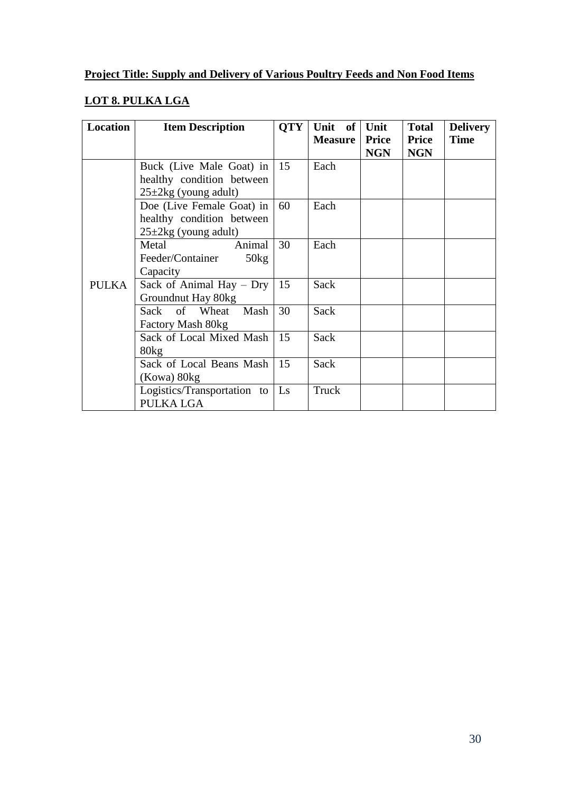### **LOT 8. PULKA LGA**

| <b>Location</b> | <b>Item Description</b>          | <b>QTY</b> | Unit of        | Unit         | <b>Total</b> | <b>Delivery</b> |
|-----------------|----------------------------------|------------|----------------|--------------|--------------|-----------------|
|                 |                                  |            | <b>Measure</b> | <b>Price</b> | <b>Price</b> | <b>Time</b>     |
|                 |                                  |            |                | <b>NGN</b>   | <b>NGN</b>   |                 |
|                 | Buck (Live Male Goat) in         | 15         | Each           |              |              |                 |
|                 | healthy condition between        |            |                |              |              |                 |
|                 | $25\pm 2\text{kg}$ (young adult) |            |                |              |              |                 |
|                 | Doe (Live Female Goat) in        | 60         | Each           |              |              |                 |
|                 | healthy condition between        |            |                |              |              |                 |
|                 | $25\pm 2\text{kg}$ (young adult) |            |                |              |              |                 |
|                 | Metal<br>Animal                  | 30         | Each           |              |              |                 |
|                 | Feeder/Container<br>50kg         |            |                |              |              |                 |
|                 | Capacity                         |            |                |              |              |                 |
| <b>PULKA</b>    | Sack of Animal Hay $-$ Dry       | 15         | Sack           |              |              |                 |
|                 | Groundnut Hay 80kg               |            |                |              |              |                 |
|                 | Wheat<br>Mash<br>of<br>Sack      | 30         | Sack           |              |              |                 |
|                 | Factory Mash 80kg                |            |                |              |              |                 |
|                 | Sack of Local Mixed Mash         | 15         | Sack           |              |              |                 |
|                 | 80kg                             |            |                |              |              |                 |
|                 | Sack of Local Beans Mash         | 15         | Sack           |              |              |                 |
|                 | (Kowa) 80kg                      |            |                |              |              |                 |
|                 | Logistics/Transportation to      | Ls         | Truck          |              |              |                 |
|                 | PULKA LGA                        |            |                |              |              |                 |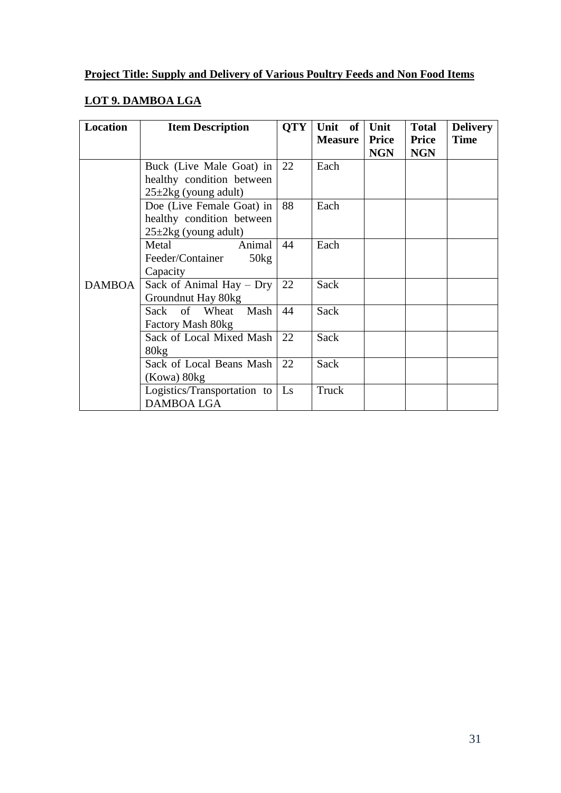### **LOT 9. DAMBOA LGA**

| <b>Location</b> | <b>Item Description</b>          | <b>QTY</b> | Unit of        | Unit         | <b>Total</b> | <b>Delivery</b> |
|-----------------|----------------------------------|------------|----------------|--------------|--------------|-----------------|
|                 |                                  |            | <b>Measure</b> | <b>Price</b> | <b>Price</b> | <b>Time</b>     |
|                 |                                  |            |                | <b>NGN</b>   | <b>NGN</b>   |                 |
|                 | Buck (Live Male Goat) in         | 22         | Each           |              |              |                 |
|                 | healthy condition between        |            |                |              |              |                 |
|                 | $25\pm 2\text{kg}$ (young adult) |            |                |              |              |                 |
|                 | Doe (Live Female Goat) in        | 88         | Each           |              |              |                 |
|                 | healthy condition between        |            |                |              |              |                 |
|                 | $25 \pm 2$ kg (young adult)      |            |                |              |              |                 |
|                 | Metal<br>Animal                  | 44         | Each           |              |              |                 |
|                 | 50kg<br>Feeder/Container         |            |                |              |              |                 |
|                 | Capacity                         |            |                |              |              |                 |
| <b>DAMBOA</b>   | Sack of Animal Hay $-$ Dry       | 22         | Sack           |              |              |                 |
|                 | Groundnut Hay 80kg               |            |                |              |              |                 |
|                 | Sack of Wheat<br>Mash            | 44         | Sack           |              |              |                 |
|                 | Factory Mash 80kg                |            |                |              |              |                 |
|                 | Sack of Local Mixed Mash         | 22         | Sack           |              |              |                 |
|                 | 80kg                             |            |                |              |              |                 |
|                 | Sack of Local Beans Mash         | 22         | Sack           |              |              |                 |
|                 | (Kowa) 80kg                      |            |                |              |              |                 |
|                 | Logistics/Transportation to      | Ls         | Truck          |              |              |                 |
|                 | <b>DAMBOA LGA</b>                |            |                |              |              |                 |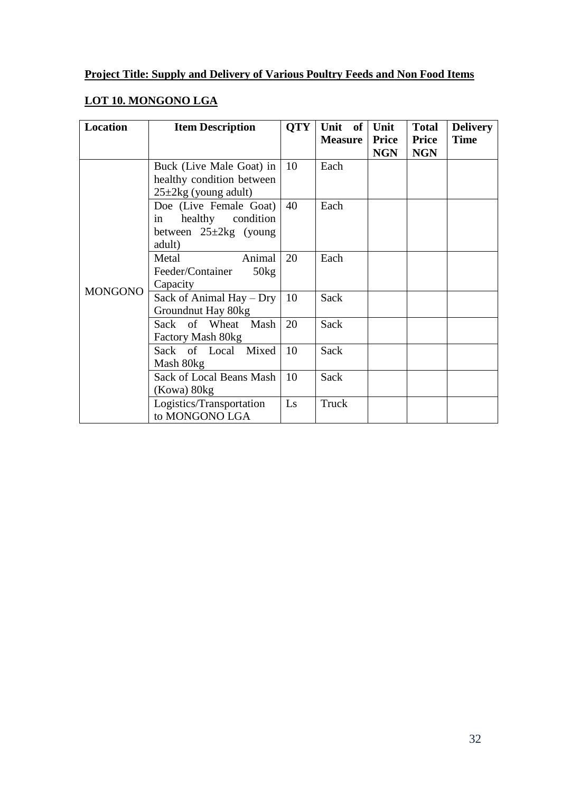### **LOT 10. MONGONO LGA**

| <b>Location</b> | <b>Item Description</b>          | <b>QTY</b> | Unit of<br><b>Measure</b> | Unit<br><b>Price</b> | <b>Total</b><br><b>Price</b> | <b>Delivery</b><br><b>Time</b> |
|-----------------|----------------------------------|------------|---------------------------|----------------------|------------------------------|--------------------------------|
|                 |                                  |            |                           | <b>NGN</b>           | <b>NGN</b>                   |                                |
|                 | Buck (Live Male Goat) in         | 10         | Each                      |                      |                              |                                |
|                 | healthy condition between        |            |                           |                      |                              |                                |
|                 | $25\pm 2\text{kg}$ (young adult) |            |                           |                      |                              |                                |
|                 | Doe (Live Female Goat)           | 40         | Each                      |                      |                              |                                |
|                 | healthy condition<br>in          |            |                           |                      |                              |                                |
|                 | between $25 \pm 2kg$ (young      |            |                           |                      |                              |                                |
|                 | adult)                           |            |                           |                      |                              |                                |
|                 | Animal<br>Metal                  | 20         | Each                      |                      |                              |                                |
|                 | 50kg<br>Feeder/Container         |            |                           |                      |                              |                                |
| <b>MONGONO</b>  | Capacity                         |            |                           |                      |                              |                                |
|                 | Sack of Animal Hay - Dry         | 10         | Sack                      |                      |                              |                                |
|                 | Groundnut Hay 80kg               |            |                           |                      |                              |                                |
|                 | Sack of Wheat Mash               | 20         | Sack                      |                      |                              |                                |
|                 | Factory Mash 80kg                |            |                           |                      |                              |                                |
|                 | Sack of Local Mixed              | 10         | Sack                      |                      |                              |                                |
|                 | Mash 80kg                        |            |                           |                      |                              |                                |
|                 | Sack of Local Beans Mash         | 10         | Sack                      |                      |                              |                                |
|                 | (Kowa) 80kg                      |            |                           |                      |                              |                                |
|                 | Logistics/Transportation         | Ls         | Truck                     |                      |                              |                                |
|                 | to MONGONO LGA                   |            |                           |                      |                              |                                |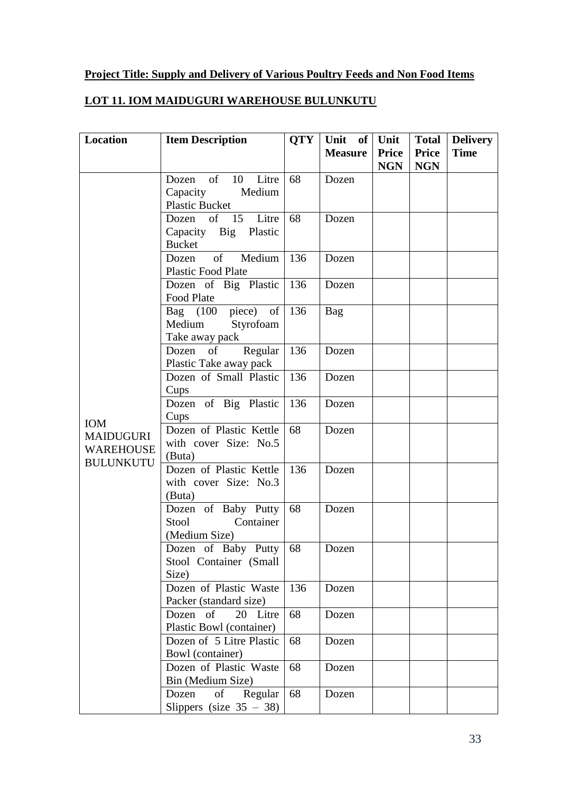### **LOT 11. IOM MAIDUGURI WAREHOUSE BULUNKUTU**

| Location         | <b>Item Description</b>                              | <b>QTY</b> | Unit of        | Unit                       | <b>Total</b>               | <b>Delivery</b> |
|------------------|------------------------------------------------------|------------|----------------|----------------------------|----------------------------|-----------------|
|                  |                                                      |            | <b>Measure</b> | <b>Price</b><br><b>NGN</b> | <b>Price</b><br><b>NGN</b> | <b>Time</b>     |
|                  | of<br>10<br>Litre<br>Dozen                           | 68         | Dozen          |                            |                            |                 |
|                  | Capacity<br>Medium                                   |            |                |                            |                            |                 |
|                  | Plastic Bucket                                       |            |                |                            |                            |                 |
|                  | Dozen of 15 Litre                                    | 68         | Dozen          |                            |                            |                 |
|                  | Capacity Big Plastic                                 |            |                |                            |                            |                 |
|                  | <b>Bucket</b>                                        |            |                |                            |                            |                 |
|                  | Medium<br>of<br>Dozen                                | 136        | Dozen          |                            |                            |                 |
|                  | <b>Plastic Food Plate</b>                            |            |                |                            |                            |                 |
|                  | Dozen of Big Plastic                                 | 136        | Dozen          |                            |                            |                 |
|                  | Food Plate                                           |            |                |                            |                            |                 |
|                  | Bag $(100 \text{ piece})$ of 136                     |            | Bag            |                            |                            |                 |
|                  | Medium<br>Styrofoam                                  |            |                |                            |                            |                 |
|                  | Take away pack                                       |            |                |                            |                            |                 |
|                  | of<br>Regular<br>Dozen                               | 136        | Dozen          |                            |                            |                 |
|                  | Plastic Take away pack                               |            |                |                            |                            |                 |
|                  | Dozen of Small Plastic                               | 136        | Dozen          |                            |                            |                 |
|                  | Cups<br>Dozen of Big Plastic                         | 136        | Dozen          |                            |                            |                 |
|                  | Cups                                                 |            |                |                            |                            |                 |
| <b>IOM</b>       | Dozen of Plastic Kettle                              | 68         | Dozen          |                            |                            |                 |
| MAIDUGURI        | with cover Size: No.5                                |            |                |                            |                            |                 |
| <b>WAREHOUSE</b> | (Buta)                                               |            |                |                            |                            |                 |
| <b>BULUNKUTU</b> | Dozen of Plastic Kettle                              | 136        | Dozen          |                            |                            |                 |
|                  | with cover Size: No.3                                |            |                |                            |                            |                 |
|                  | (Buta)                                               |            |                |                            |                            |                 |
|                  | Dozen of Baby Putty                                  | 68         | Dozen          |                            |                            |                 |
|                  | Container<br>Stool                                   |            |                |                            |                            |                 |
|                  | (Medium Size)                                        |            |                |                            |                            |                 |
|                  | Dozen of Baby Putty                                  | 68         | Dozen          |                            |                            |                 |
|                  | Stool Container (Small                               |            |                |                            |                            |                 |
|                  | Size)                                                |            |                |                            |                            |                 |
|                  | Dozen of Plastic Waste                               | 136        | Dozen          |                            |                            |                 |
|                  | Packer (standard size)                               |            |                |                            |                            |                 |
|                  | of<br>20 Litre<br>Dozen                              | 68         | Dozen          |                            |                            |                 |
|                  | Plastic Bowl (container)                             |            |                |                            |                            |                 |
|                  | Dozen of 5 Litre Plastic                             | 68         | Dozen          |                            |                            |                 |
|                  | Bowl (container)                                     |            |                |                            |                            |                 |
|                  | Dozen of Plastic Waste                               | 68         | Dozen          |                            |                            |                 |
|                  | Bin (Medium Size)                                    |            |                |                            |                            |                 |
|                  | Dozen<br>of<br>Regular<br>Slippers (size $35 - 38$ ) | 68         | Dozen          |                            |                            |                 |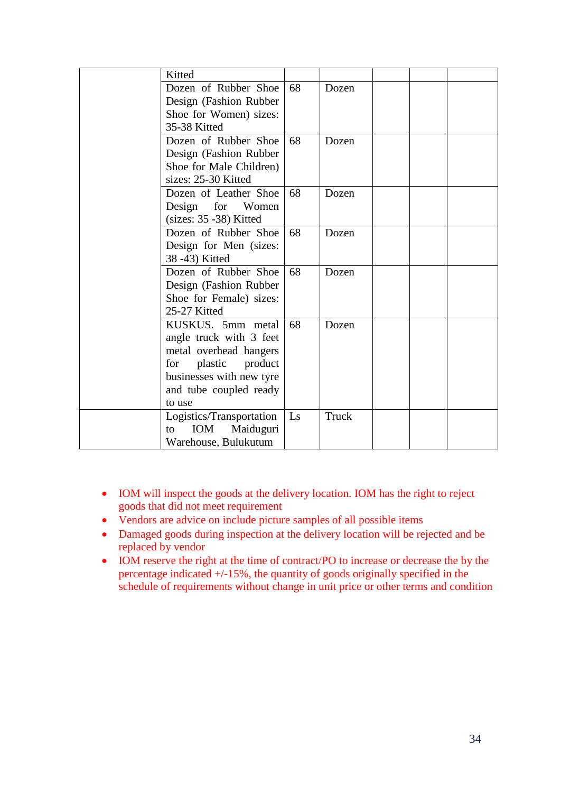| Kitted                        |    |       |  |  |
|-------------------------------|----|-------|--|--|
| Dozen of Rubber Shoe          | 68 | Dozen |  |  |
| Design (Fashion Rubber        |    |       |  |  |
| Shoe for Women) sizes:        |    |       |  |  |
| 35-38 Kitted                  |    |       |  |  |
| Dozen of Rubber Shoe          | 68 | Dozen |  |  |
| Design (Fashion Rubber)       |    |       |  |  |
| Shoe for Male Children)       |    |       |  |  |
| sizes: 25-30 Kitted           |    |       |  |  |
| Dozen of Leather Shoe         | 68 | Dozen |  |  |
| for<br>Design<br>Women        |    |       |  |  |
| $(sizes: 35 - 38)$ Kitted     |    |       |  |  |
| Dozen of Rubber Shoe          | 68 | Dozen |  |  |
| Design for Men (sizes:        |    |       |  |  |
| 38-43) Kitted                 |    |       |  |  |
| Dozen of Rubber Shoe          | 68 | Dozen |  |  |
| Design (Fashion Rubber        |    |       |  |  |
| Shoe for Female) sizes:       |    |       |  |  |
| 25-27 Kitted                  |    |       |  |  |
| KUSKUS. 5mm metal             | 68 | Dozen |  |  |
| angle truck with 3 feet       |    |       |  |  |
| metal overhead hangers        |    |       |  |  |
| plastic<br>product<br>for     |    |       |  |  |
| businesses with new tyre      |    |       |  |  |
| and tube coupled ready        |    |       |  |  |
| to use                        |    |       |  |  |
| Logistics/Transportation      | Ls | Truck |  |  |
| <b>IOM</b><br>Maiduguri<br>to |    |       |  |  |
| Warehouse, Bulukutum          |    |       |  |  |

- IOM will inspect the goods at the delivery location. IOM has the right to reject goods that did not meet requirement
- Vendors are advice on include picture samples of all possible items
- Damaged goods during inspection at the delivery location will be rejected and be replaced by vendor
- IOM reserve the right at the time of contract/PO to increase or decrease the by the percentage indicated +/-15%, the quantity of goods originally specified in the schedule of requirements without change in unit price or other terms and condition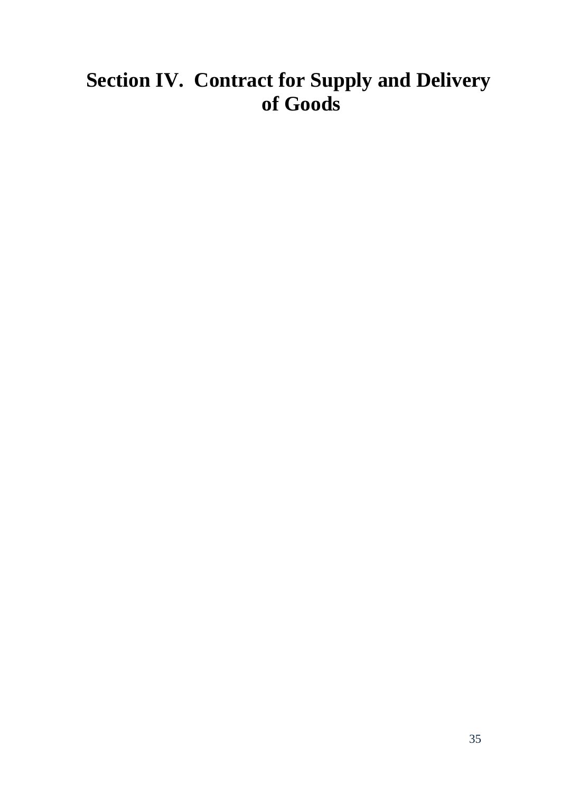# <span id="page-34-0"></span>**Section IV. Contract for Supply and Delivery of Goods**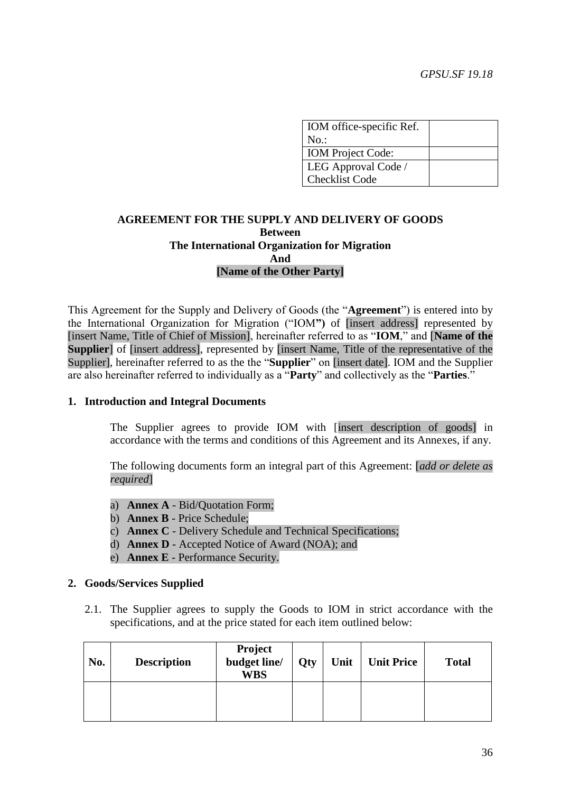| IOM office-specific Ref. |  |
|--------------------------|--|
| No.                      |  |
| <b>IOM</b> Project Code: |  |
| LEG Approval Code /      |  |
| <b>Checklist Code</b>    |  |

### **AGREEMENT FOR THE SUPPLY AND DELIVERY OF GOODS Between The International Organization for Migration And [Name of the Other Party]**

This Agreement for the Supply and Delivery of Goods (the "**Agreement**") is entered into by the International Organization for Migration ("IOM**")** of [insert address] represented by [insert Name, Title of Chief of Mission], hereinafter referred to as "**IOM**," and [**Name of the Supplier** of [insert address], represented by [insert Name, Title of the representative of the Supplier], hereinafter referred to as the the "**Supplier**" on [insert date]. IOM and the Supplier are also hereinafter referred to individually as a "**Party**" and collectively as the "**Parties**."

#### **1. Introduction and Integral Documents**

The Supplier agrees to provide IOM with [insert description of goods] in accordance with the terms and conditions of this Agreement and its Annexes, if any.

The following documents form an integral part of this Agreement: [*add or delete as required*]

- a) **Annex A** Bid/Quotation Form;
- b) **Annex B** Price Schedule;
- c) **Annex C** Delivery Schedule and Technical Specifications;
- d) **Annex D** Accepted Notice of Award (NOA); and
- e) **Annex E** Performance Security.

#### **2. Goods/Services Supplied**

2.1. The Supplier agrees to supply the Goods to IOM in strict accordance with the specifications, and at the price stated for each item outlined below:

| No. | <b>Description</b> | Project<br>budget line/<br><b>WBS</b> | <b>Qty</b> | Unit | <b>Unit Price</b> | <b>Total</b> |
|-----|--------------------|---------------------------------------|------------|------|-------------------|--------------|
|     |                    |                                       |            |      |                   |              |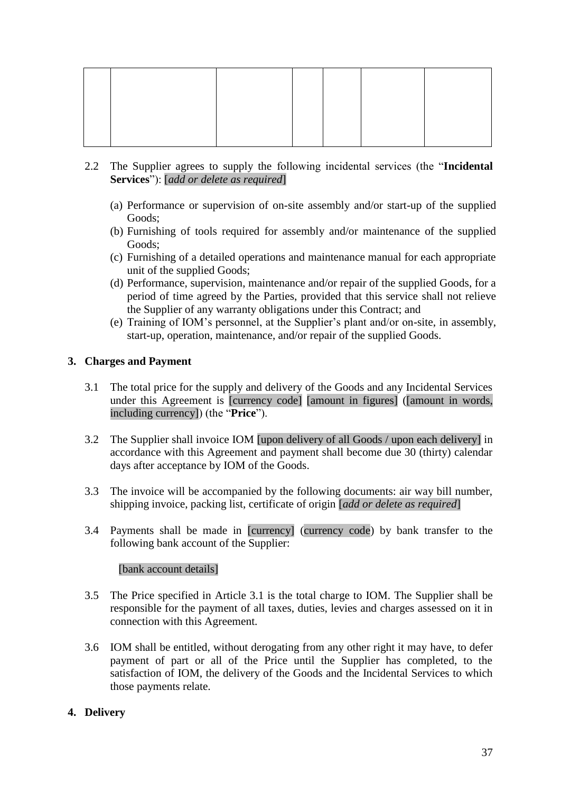- 2.2 The Supplier agrees to supply the following incidental services (the "**Incidental Services**"): [*add or delete as required*]
	- (a) Performance or supervision of on-site assembly and/or start-up of the supplied Goods;
	- (b) Furnishing of tools required for assembly and/or maintenance of the supplied Goods;
	- (c) Furnishing of a detailed operations and maintenance manual for each appropriate unit of the supplied Goods;
	- (d) Performance, supervision, maintenance and/or repair of the supplied Goods, for a period of time agreed by the Parties, provided that this service shall not relieve the Supplier of any warranty obligations under this Contract; and
	- (e) Training of IOM's personnel, at the Supplier's plant and/or on-site, in assembly, start-up, operation, maintenance, and/or repair of the supplied Goods.

### **3. Charges and Payment**

- 3.1 The total price for the supply and delivery of the Goods and any Incidental Services under this Agreement is [currency code] [amount in figures] ([amount in words, including currency]) (the "**Price**").
- 3.2 The Supplier shall invoice IOM [upon delivery of all Goods / upon each delivery] in accordance with this Agreement and payment shall become due 30 (thirty) calendar days after acceptance by IOM of the Goods.
- 3.3 The invoice will be accompanied by the following documents: air way bill number, shipping invoice, packing list, certificate of origin [*add or delete as required*]
- 3.4 Payments shall be made in [currency] (currency code) by bank transfer to the following bank account of the Supplier:

### [bank account details]

- 3.5 The Price specified in Article 3.1 is the total charge to IOM. The Supplier shall be responsible for the payment of all taxes, duties, levies and charges assessed on it in connection with this Agreement.
- 3.6 IOM shall be entitled, without derogating from any other right it may have, to defer payment of part or all of the Price until the Supplier has completed, to the satisfaction of IOM, the delivery of the Goods and the Incidental Services to which those payments relate.

### **4. Delivery**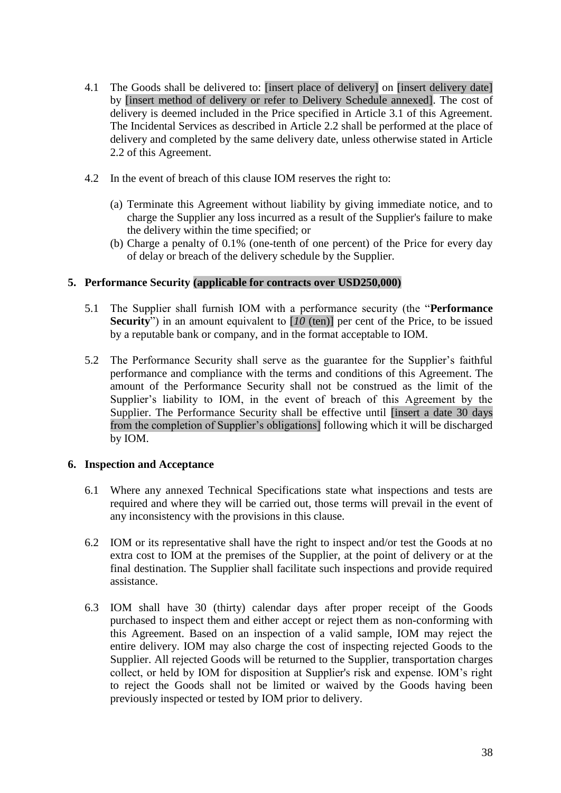- 4.1 The Goods shall be delivered to: [insert place of delivery] on [insert delivery date] by [insert method of delivery or refer to Delivery Schedule annexed]. The cost of delivery is deemed included in the Price specified in Article 3.1 of this Agreement. The Incidental Services as described in Article 2.2 shall be performed at the place of delivery and completed by the same delivery date, unless otherwise stated in Article 2.2 of this Agreement.
- 4.2 In the event of breach of this clause IOM reserves the right to:
	- (a) Terminate this Agreement without liability by giving immediate notice, and to charge the Supplier any loss incurred as a result of the Supplier's failure to make the delivery within the time specified; or
	- (b) Charge a penalty of 0.1% (one-tenth of one percent) of the Price for every day of delay or breach of the delivery schedule by the Supplier.

### **5. Performance Security (applicable for contracts over USD250,000)**

- 5.1 The Supplier shall furnish IOM with a performance security (the "**Performance Security**") in an amount equivalent to [*10* (ten)] per cent of the Price, to be issued by a reputable bank or company, and in the format acceptable to IOM.
- 5.2 The Performance Security shall serve as the guarantee for the Supplier's faithful performance and compliance with the terms and conditions of this Agreement. The amount of the Performance Security shall not be construed as the limit of the Supplier's liability to IOM, in the event of breach of this Agreement by the Supplier. The Performance Security shall be effective until [insert a date 30 days from the completion of Supplier's obligations] following which it will be discharged by IOM.

### **6. Inspection and Acceptance**

- 6.1 Where any annexed Technical Specifications state what inspections and tests are required and where they will be carried out, those terms will prevail in the event of any inconsistency with the provisions in this clause.
- 6.2 IOM or its representative shall have the right to inspect and/or test the Goods at no extra cost to IOM at the premises of the Supplier, at the point of delivery or at the final destination. The Supplier shall facilitate such inspections and provide required assistance.
- 6.3 IOM shall have 30 (thirty) calendar days after proper receipt of the Goods purchased to inspect them and either accept or reject them as non-conforming with this Agreement. Based on an inspection of a valid sample, IOM may reject the entire delivery. IOM may also charge the cost of inspecting rejected Goods to the Supplier. All rejected Goods will be returned to the Supplier, transportation charges collect, or held by IOM for disposition at Supplier's risk and expense. IOM's right to reject the Goods shall not be limited or waived by the Goods having been previously inspected or tested by IOM prior to delivery.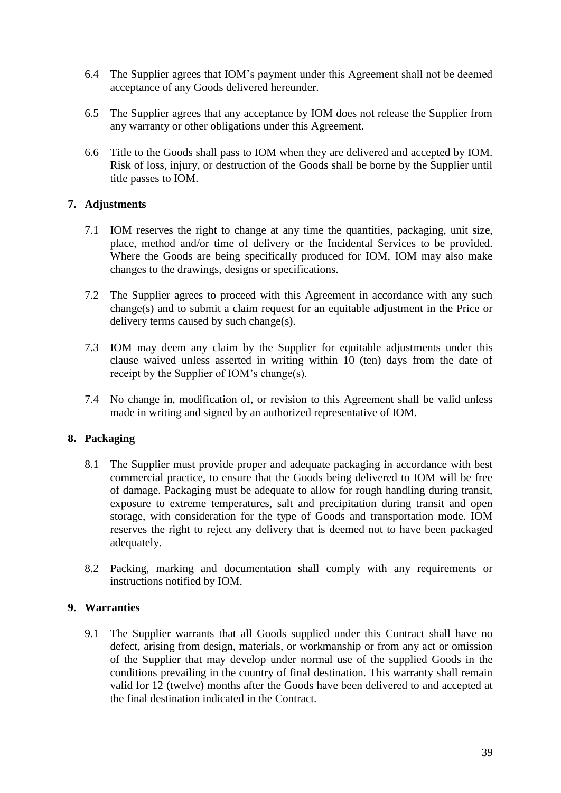- 6.4 The Supplier agrees that IOM's payment under this Agreement shall not be deemed acceptance of any Goods delivered hereunder.
- 6.5 The Supplier agrees that any acceptance by IOM does not release the Supplier from any warranty or other obligations under this Agreement.
- 6.6 Title to the Goods shall pass to IOM when they are delivered and accepted by IOM. Risk of loss, injury, or destruction of the Goods shall be borne by the Supplier until title passes to IOM.

### **7. Adjustments**

- 7.1 IOM reserves the right to change at any time the quantities, packaging, unit size, place, method and/or time of delivery or the Incidental Services to be provided. Where the Goods are being specifically produced for IOM, IOM may also make changes to the drawings, designs or specifications.
- 7.2 The Supplier agrees to proceed with this Agreement in accordance with any such change(s) and to submit a claim request for an equitable adjustment in the Price or delivery terms caused by such change(s).
- 7.3 IOM may deem any claim by the Supplier for equitable adjustments under this clause waived unless asserted in writing within 10 (ten) days from the date of receipt by the Supplier of IOM's change(s).
- 7.4 No change in, modification of, or revision to this Agreement shall be valid unless made in writing and signed by an authorized representative of IOM.

### **8. Packaging**

- 8.1 The Supplier must provide proper and adequate packaging in accordance with best commercial practice, to ensure that the Goods being delivered to IOM will be free of damage. Packaging must be adequate to allow for rough handling during transit, exposure to extreme temperatures, salt and precipitation during transit and open storage, with consideration for the type of Goods and transportation mode. IOM reserves the right to reject any delivery that is deemed not to have been packaged adequately.
- 8.2 Packing, marking and documentation shall comply with any requirements or instructions notified by IOM.

### **9. Warranties**

9.1 The Supplier warrants that all Goods supplied under this Contract shall have no defect, arising from design, materials, or workmanship or from any act or omission of the Supplier that may develop under normal use of the supplied Goods in the conditions prevailing in the country of final destination. This warranty shall remain valid for 12 (twelve) months after the Goods have been delivered to and accepted at the final destination indicated in the Contract.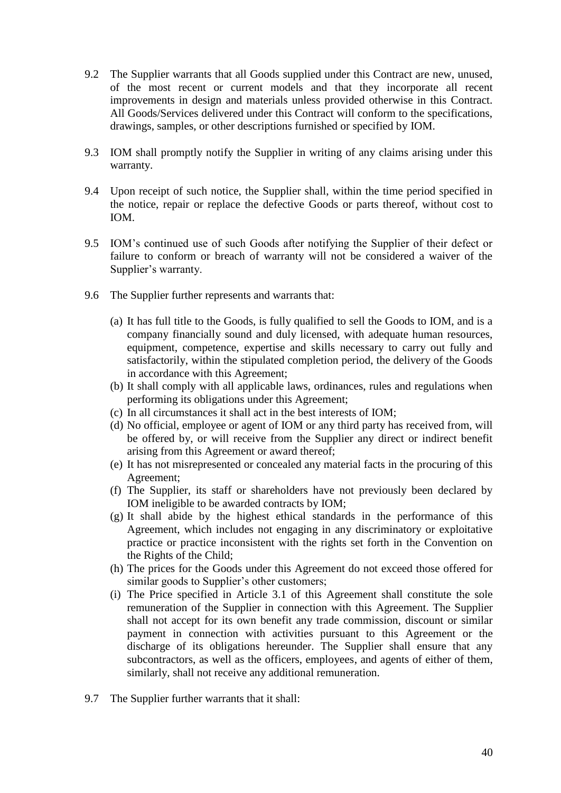- 9.2 The Supplier warrants that all Goods supplied under this Contract are new, unused, of the most recent or current models and that they incorporate all recent improvements in design and materials unless provided otherwise in this Contract. All Goods/Services delivered under this Contract will conform to the specifications, drawings, samples, or other descriptions furnished or specified by IOM.
- 9.3 IOM shall promptly notify the Supplier in writing of any claims arising under this warranty.
- 9.4 Upon receipt of such notice, the Supplier shall, within the time period specified in the notice, repair or replace the defective Goods or parts thereof, without cost to IOM.
- 9.5 IOM's continued use of such Goods after notifying the Supplier of their defect or failure to conform or breach of warranty will not be considered a waiver of the Supplier's warranty.
- 9.6 The Supplier further represents and warrants that:
	- (a) It has full title to the Goods, is fully qualified to sell the Goods to IOM, and is a company financially sound and duly licensed, with adequate human resources, equipment, competence, expertise and skills necessary to carry out fully and satisfactorily, within the stipulated completion period, the delivery of the Goods in accordance with this Agreement;
	- (b) It shall comply with all applicable laws, ordinances, rules and regulations when performing its obligations under this Agreement;
	- (c) In all circumstances it shall act in the best interests of IOM;
	- (d) No official, employee or agent of IOM or any third party has received from, will be offered by, or will receive from the Supplier any direct or indirect benefit arising from this Agreement or award thereof;
	- (e) It has not misrepresented or concealed any material facts in the procuring of this Agreement;
	- (f) The Supplier, its staff or shareholders have not previously been declared by IOM ineligible to be awarded contracts by IOM;
	- (g) It shall abide by the highest ethical standards in the performance of this Agreement, which includes not engaging in any discriminatory or exploitative practice or practice inconsistent with the rights set forth in the Convention on the Rights of the Child;
	- (h) The prices for the Goods under this Agreement do not exceed those offered for similar goods to Supplier's other customers;
	- (i) The Price specified in Article 3.1 of this Agreement shall constitute the sole remuneration of the Supplier in connection with this Agreement. The Supplier shall not accept for its own benefit any trade commission, discount or similar payment in connection with activities pursuant to this Agreement or the discharge of its obligations hereunder. The Supplier shall ensure that any subcontractors, as well as the officers, employees, and agents of either of them, similarly, shall not receive any additional remuneration.
- 9.7 The Supplier further warrants that it shall: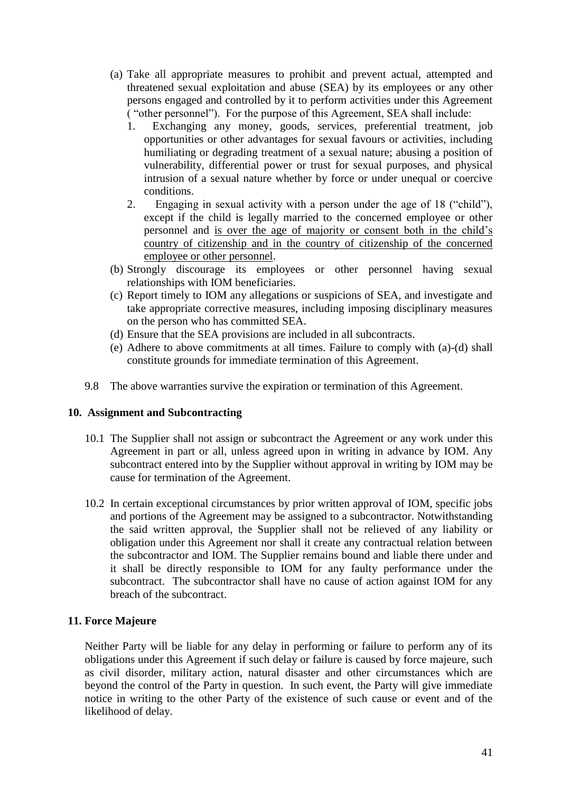- (a) Take all appropriate measures to prohibit and prevent actual, attempted and threatened sexual exploitation and abuse (SEA) by its employees or any other persons engaged and controlled by it to perform activities under this Agreement ( "other personnel"). For the purpose of this Agreement, SEA shall include:
	- 1. Exchanging any money, goods, services, preferential treatment, job opportunities or other advantages for sexual favours or activities, including humiliating or degrading treatment of a sexual nature; abusing a position of vulnerability, differential power or trust for sexual purposes, and physical intrusion of a sexual nature whether by force or under unequal or coercive conditions.
	- 2. Engaging in sexual activity with a person under the age of 18 ("child"), except if the child is legally married to the concerned employee or other personnel and is over the age of majority or consent both in the child's country of citizenship and in the country of citizenship of the concerned employee or other personnel.
- (b) Strongly discourage its employees or other personnel having sexual relationships with IOM beneficiaries.
- (c) Report timely to IOM any allegations or suspicions of SEA, and investigate and take appropriate corrective measures, including imposing disciplinary measures on the person who has committed SEA.
- (d) Ensure that the SEA provisions are included in all subcontracts.
- (e) Adhere to above commitments at all times. Failure to comply with (a)-(d) shall constitute grounds for immediate termination of this Agreement.
- 9.8 The above warranties survive the expiration or termination of this Agreement.

### **10. Assignment and Subcontracting**

- 10.1 The Supplier shall not assign or subcontract the Agreement or any work under this Agreement in part or all, unless agreed upon in writing in advance by IOM. Any subcontract entered into by the Supplier without approval in writing by IOM may be cause for termination of the Agreement.
- 10.2 In certain exceptional circumstances by prior written approval of IOM, specific jobs and portions of the Agreement may be assigned to a subcontractor. Notwithstanding the said written approval, the Supplier shall not be relieved of any liability or obligation under this Agreement nor shall it create any contractual relation between the subcontractor and IOM. The Supplier remains bound and liable there under and it shall be directly responsible to IOM for any faulty performance under the subcontract. The subcontractor shall have no cause of action against IOM for any breach of the subcontract.

### **11. Force Majeure**

Neither Party will be liable for any delay in performing or failure to perform any of its obligations under this Agreement if such delay or failure is caused by force majeure, such as civil disorder, military action, natural disaster and other circumstances which are beyond the control of the Party in question. In such event, the Party will give immediate notice in writing to the other Party of the existence of such cause or event and of the likelihood of delay.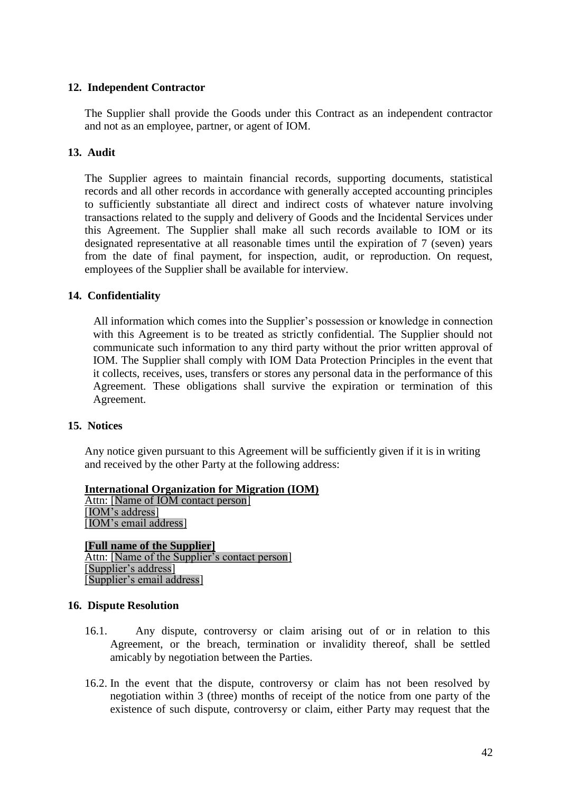### **12. Independent Contractor**

The Supplier shall provide the Goods under this Contract as an independent contractor and not as an employee, partner, or agent of IOM.

### **13. Audit**

The Supplier agrees to maintain financial records, supporting documents, statistical records and all other records in accordance with generally accepted accounting principles to sufficiently substantiate all direct and indirect costs of whatever nature involving transactions related to the supply and delivery of Goods and the Incidental Services under this Agreement. The Supplier shall make all such records available to IOM or its designated representative at all reasonable times until the expiration of 7 (seven) years from the date of final payment, for inspection, audit, or reproduction. On request, employees of the Supplier shall be available for interview.

### **14. Confidentiality**

All information which comes into the Supplier's possession or knowledge in connection with this Agreement is to be treated as strictly confidential. The Supplier should not communicate such information to any third party without the prior written approval of IOM. The Supplier shall comply with IOM Data Protection Principles in the event that it collects, receives, uses, transfers or stores any personal data in the performance of this Agreement. These obligations shall survive the expiration or termination of this Agreement.

### **15. Notices**

Any notice given pursuant to this Agreement will be sufficiently given if it is in writing and received by the other Party at the following address:

**International Organization for Migration (IOM)** Attn: [Name of IOM contact person] [IOM's address] [IOM's email address]

**[Full name of the Supplier]** Attn: [Name of the Supplier's contact person] [Supplier's address] [Supplier's email address]

### **16. Dispute Resolution**

- 16.1. Any dispute, controversy or claim arising out of or in relation to this Agreement, or the breach, termination or invalidity thereof, shall be settled amicably by negotiation between the Parties.
- 16.2. In the event that the dispute, controversy or claim has not been resolved by negotiation within 3 (three) months of receipt of the notice from one party of the existence of such dispute, controversy or claim, either Party may request that the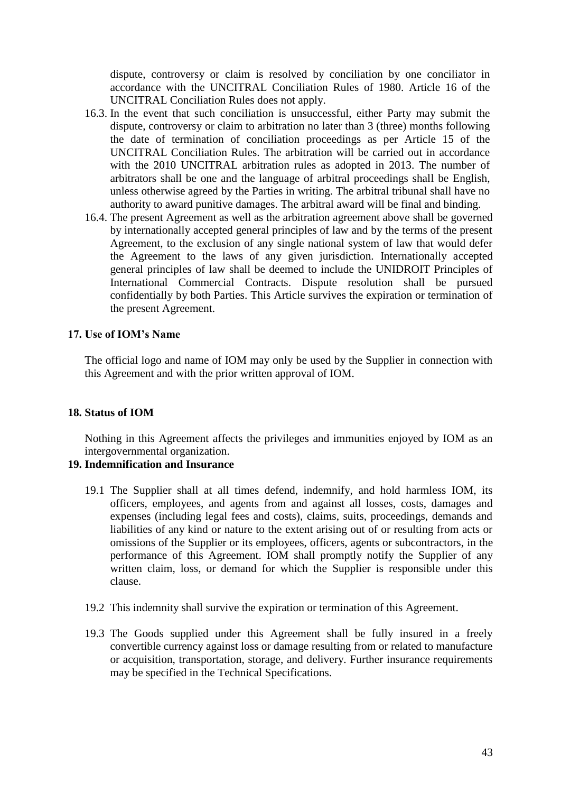dispute, controversy or claim is resolved by conciliation by one conciliator in accordance with the UNCITRAL Conciliation Rules of 1980. Article 16 of the UNCITRAL Conciliation Rules does not apply.

- 16.3. In the event that such conciliation is unsuccessful, either Party may submit the dispute, controversy or claim to arbitration no later than 3 (three) months following the date of termination of conciliation proceedings as per Article 15 of the UNCITRAL Conciliation Rules. The arbitration will be carried out in accordance with the 2010 UNCITRAL arbitration rules as adopted in 2013. The number of arbitrators shall be one and the language of arbitral proceedings shall be English, unless otherwise agreed by the Parties in writing. The arbitral tribunal shall have no authority to award punitive damages. The arbitral award will be final and binding.
- 16.4. The present Agreement as well as the arbitration agreement above shall be governed by internationally accepted general principles of law and by the terms of the present Agreement, to the exclusion of any single national system of law that would defer the Agreement to the laws of any given jurisdiction. Internationally accepted general principles of law shall be deemed to include the UNIDROIT Principles of International Commercial Contracts. Dispute resolution shall be pursued confidentially by both Parties. This Article survives the expiration or termination of the present Agreement.

### **17. Use of IOM's Name**

The official logo and name of IOM may only be used by the Supplier in connection with this Agreement and with the prior written approval of IOM.

### **18. Status of IOM**

Nothing in this Agreement affects the privileges and immunities enjoyed by IOM as an intergovernmental organization.

### **19. Indemnification and Insurance**

- 19.1 The Supplier shall at all times defend, indemnify, and hold harmless IOM, its officers, employees, and agents from and against all losses, costs, damages and expenses (including legal fees and costs), claims, suits, proceedings, demands and liabilities of any kind or nature to the extent arising out of or resulting from acts or omissions of the Supplier or its employees, officers, agents or subcontractors, in the performance of this Agreement. IOM shall promptly notify the Supplier of any written claim, loss, or demand for which the Supplier is responsible under this clause.
- 19.2 This indemnity shall survive the expiration or termination of this Agreement.
- 19.3 The Goods supplied under this Agreement shall be fully insured in a freely convertible currency against loss or damage resulting from or related to manufacture or acquisition, transportation, storage, and delivery. Further insurance requirements may be specified in the Technical Specifications.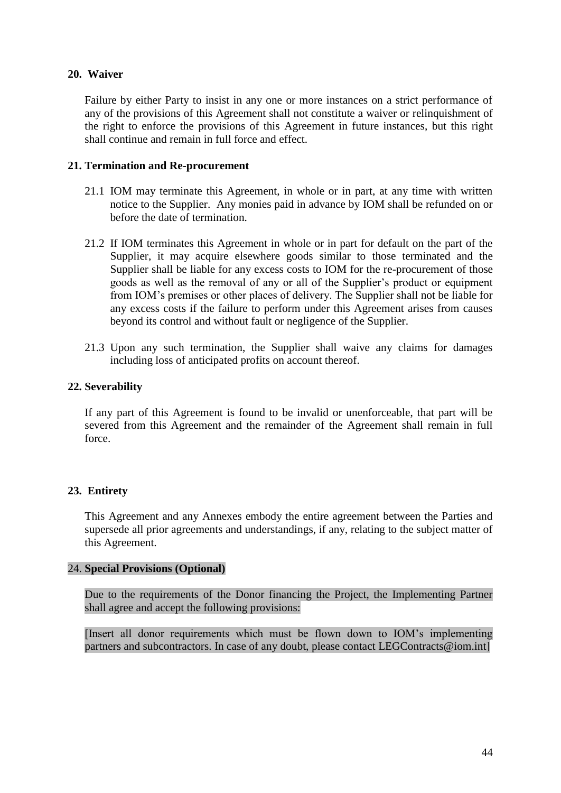### **20. Waiver**

Failure by either Party to insist in any one or more instances on a strict performance of any of the provisions of this Agreement shall not constitute a waiver or relinquishment of the right to enforce the provisions of this Agreement in future instances, but this right shall continue and remain in full force and effect.

### **21. Termination and Re-procurement**

- 21.1 IOM may terminate this Agreement, in whole or in part, at any time with written notice to the Supplier. Any monies paid in advance by IOM shall be refunded on or before the date of termination.
- 21.2 If IOM terminates this Agreement in whole or in part for default on the part of the Supplier, it may acquire elsewhere goods similar to those terminated and the Supplier shall be liable for any excess costs to IOM for the re-procurement of those goods as well as the removal of any or all of the Supplier's product or equipment from IOM's premises or other places of delivery. The Supplier shall not be liable for any excess costs if the failure to perform under this Agreement arises from causes beyond its control and without fault or negligence of the Supplier.
- 21.3 Upon any such termination, the Supplier shall waive any claims for damages including loss of anticipated profits on account thereof.

### **22. Severability**

If any part of this Agreement is found to be invalid or unenforceable, that part will be severed from this Agreement and the remainder of the Agreement shall remain in full force.

### **23. Entirety**

This Agreement and any Annexes embody the entire agreement between the Parties and supersede all prior agreements and understandings, if any, relating to the subject matter of this Agreement.

### 24. **Special Provisions (Optional)**

Due to the requirements of the Donor financing the Project, the Implementing Partner shall agree and accept the following provisions:

[Insert all donor requirements which must be flown down to IOM's implementing partners and subcontractors. In case of any doubt, please contact LEGContracts@iom.int]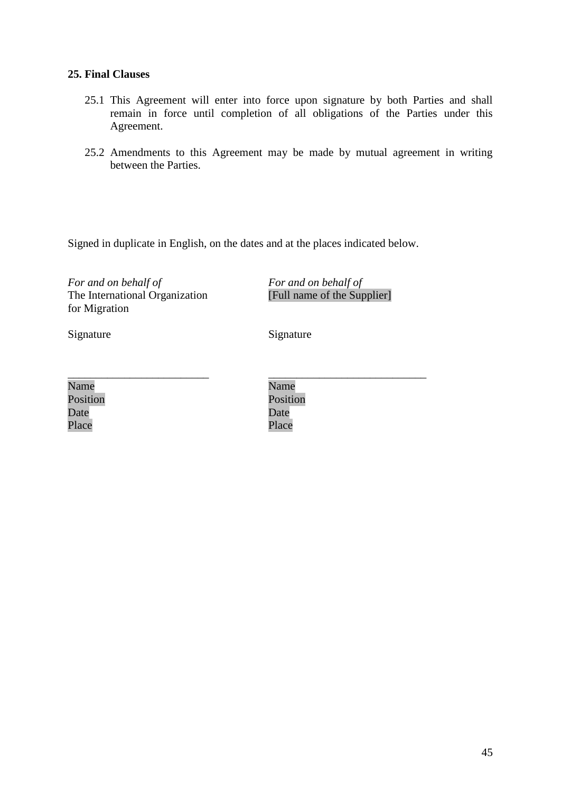### **25. Final Clauses**

- 25.1 This Agreement will enter into force upon signature by both Parties and shall remain in force until completion of all obligations of the Parties under this Agreement.
- 25.2 Amendments to this Agreement may be made by mutual agreement in writing between the Parties.

Signed in duplicate in English, on the dates and at the places indicated below.

*For and on behalf of* The International Organization for Migration

*For and on behalf of* [Full name of the Supplier]

Signature Signature Signature

| Name     |  |  |
|----------|--|--|
| Position |  |  |
| Date     |  |  |
| Place    |  |  |

\_\_\_\_\_\_\_\_\_\_\_\_\_\_\_\_\_\_\_\_\_\_\_\_\_\_\_\_ Name Position Date Place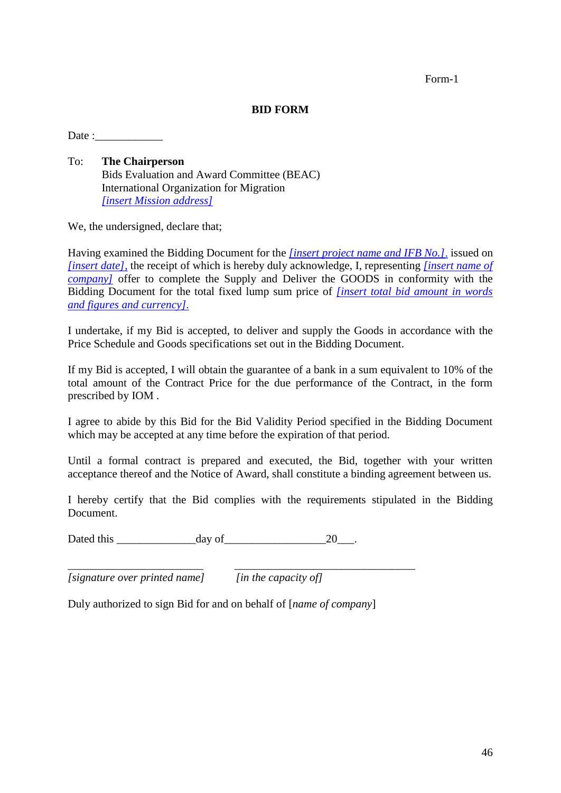### **BID FORM**

Date :

To: **The Chairperson** Bids Evaluation and Award Committee (BEAC) International Organization for Migration *[insert Mission address]* 

We, the undersigned, declare that;

Having examined the Bidding Document for the *[insert project name and IFB No.]*, issued on *[insert date],* the receipt of which is hereby duly acknowledge, I, representing *[insert name of company]* offer to complete the Supply and Deliver the GOODS in conformity with the Bidding Document for the total fixed lump sum price of *[insert total bid amount in words and figures and currency].*

I undertake, if my Bid is accepted, to deliver and supply the Goods in accordance with the Price Schedule and Goods specifications set out in the Bidding Document.

If my Bid is accepted, I will obtain the guarantee of a bank in a sum equivalent to 10% of the total amount of the Contract Price for the due performance of the Contract, in the form prescribed by IOM .

I agree to abide by this Bid for the Bid Validity Period specified in the Bidding Document which may be accepted at any time before the expiration of that period.

Until a formal contract is prepared and executed, the Bid, together with your written acceptance thereof and the Notice of Award, shall constitute a binding agreement between us.

I hereby certify that the Bid complies with the requirements stipulated in the Bidding Document.

Dated this day of 20 and 20 and 20 and 20 and 20 and 20 and 20 and 20 and 20 and 20 and 20 and 20

*[signature over printed name] [in the capacity of]*

Duly authorized to sign Bid for and on behalf of [*name of company*]

\_\_\_\_\_\_\_\_\_\_\_\_\_\_\_\_\_\_\_\_\_\_\_\_ \_\_\_\_\_\_\_\_\_\_\_\_\_\_\_\_\_\_\_\_\_\_\_\_\_\_\_\_\_\_\_\_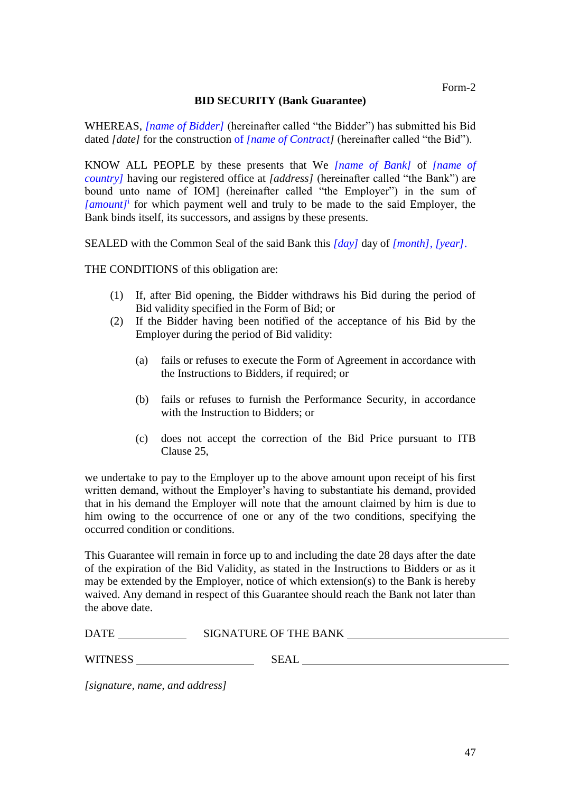### **BID SECURITY (Bank Guarantee)**

WHEREAS, *[name of Bidder]* (hereinafter called "the Bidder") has submitted his Bid dated *[date]* for the construction of *[name of Contract]* (hereinafter called "the Bid").

KNOW ALL PEOPLE by these presents that We *[name of Bank]* of *[name of country]* having our registered office at *[address]* (hereinafter called "the Bank") are bound unto name of IOM] (hereinafter called "the Employer") in the sum of *[amount]*<sup>i</sup> for which payment well and truly to be made to the said Employer, the Bank binds itself, its successors, and assigns by these presents.

SEALED with the Common Seal of the said Bank this *[day]* day of *[month]*, *[year]*.

THE CONDITIONS of this obligation are:

- (1) If, after Bid opening, the Bidder withdraws his Bid during the period of Bid validity specified in the Form of Bid; or
- (2) If the Bidder having been notified of the acceptance of his Bid by the Employer during the period of Bid validity:
	- (a) fails or refuses to execute the Form of Agreement in accordance with the Instructions to Bidders, if required; or
	- (b) fails or refuses to furnish the Performance Security, in accordance with the Instruction to Bidders; or
	- (c) does not accept the correction of the Bid Price pursuant to ITB Clause 25,

we undertake to pay to the Employer up to the above amount upon receipt of his first written demand, without the Employer's having to substantiate his demand, provided that in his demand the Employer will note that the amount claimed by him is due to him owing to the occurrence of one or any of the two conditions, specifying the occurred condition or conditions.

This Guarantee will remain in force up to and including the date 28 days after the date of the expiration of the Bid Validity, as stated in the Instructions to Bidders or as it may be extended by the Employer, notice of which extension(s) to the Bank is hereby waived. Any demand in respect of this Guarantee should reach the Bank not later than the above date.

| <b>DATE</b>    | <b>SIGNATURE OF THE BANK</b> |  |
|----------------|------------------------------|--|
|                |                              |  |
| <b>WITNESS</b> | <b>SEAL</b>                  |  |

*[signature, name, and address]*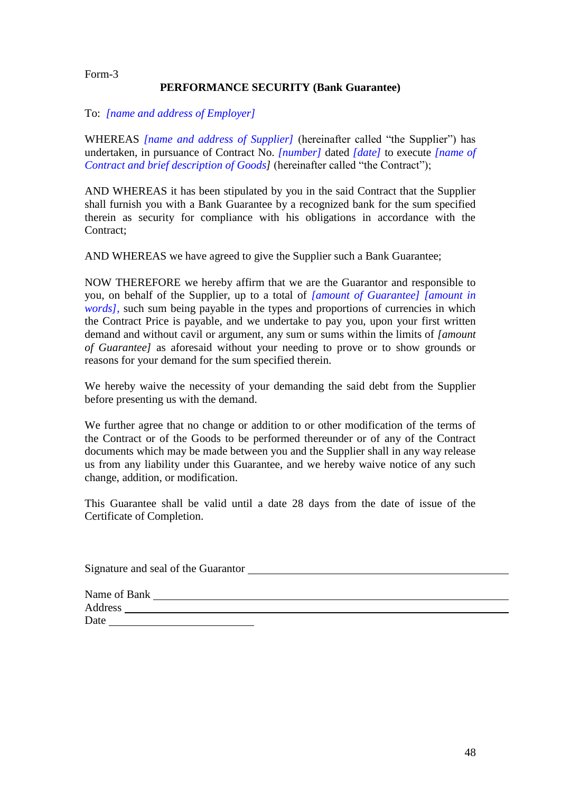### **PERFORMANCE SECURITY (Bank Guarantee)**

### To: *[name and address of Employer]*

WHEREAS *[name and address of Supplier]* (hereinafter called "the Supplier") has undertaken, in pursuance of Contract No. *[number]* dated *[date]* to execute *[name of Contract and brief description of Goods]* (hereinafter called "the Contract");

AND WHEREAS it has been stipulated by you in the said Contract that the Supplier shall furnish you with a Bank Guarantee by a recognized bank for the sum specified therein as security for compliance with his obligations in accordance with the Contract:

AND WHEREAS we have agreed to give the Supplier such a Bank Guarantee;

NOW THEREFORE we hereby affirm that we are the Guarantor and responsible to you, on behalf of the Supplier, up to a total of *[amount of Guarantee] [amount in words]*, such sum being payable in the types and proportions of currencies in which the Contract Price is payable, and we undertake to pay you, upon your first written demand and without cavil or argument, any sum or sums within the limits of *[amount of Guarantee]* as aforesaid without your needing to prove or to show grounds or reasons for your demand for the sum specified therein.

We hereby waive the necessity of your demanding the said debt from the Supplier before presenting us with the demand.

We further agree that no change or addition to or other modification of the terms of the Contract or of the Goods to be performed thereunder or of any of the Contract documents which may be made between you and the Supplier shall in any way release us from any liability under this Guarantee, and we hereby waive notice of any such change, addition, or modification.

This Guarantee shall be valid until a date 28 days from the date of issue of the Certificate of Completion.

| Signature and seal of the Guarantor |  |
|-------------------------------------|--|
|                                     |  |
| Name of Bank                        |  |
| Address                             |  |
| Date                                |  |